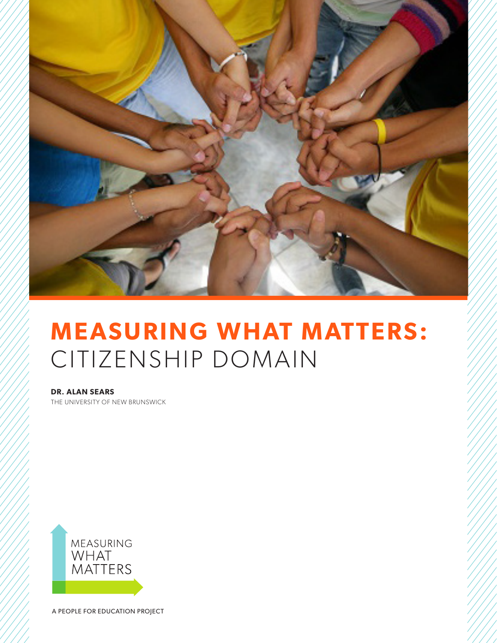

# **MEASURING WHAT MATTERS:** CITIZENSHIP DOMAIN

**DR. ALAN SEARS** THE UNIVERSITY OF NEW BRUNSWICK



A PEOPLE FOR EDUCATION PROJECT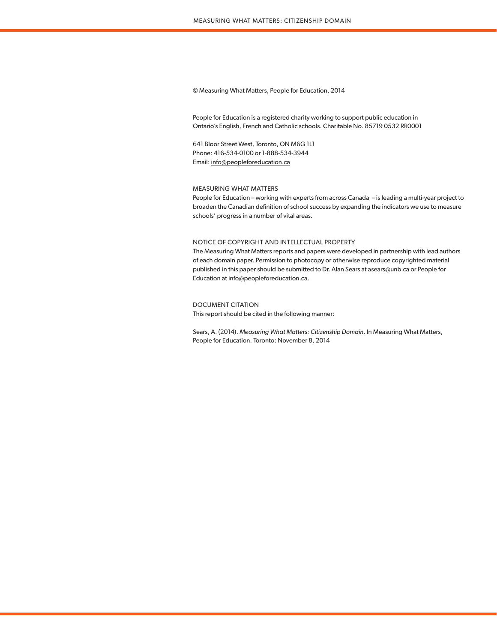# © Measuring What Matters, People for Education, 2014

People for Education is a registered charity working to support public education in Ontario's English, French and Catholic schools. Charitable No. 85719 0532 RR0001

641 Bloor Street West, Toronto, ON M6G 1L1 Phone: 416-534-0100 or 1-888-534-3944 Email: info@peopleforeducation.ca

# MEASURING WHAT MATTERS

People for Education – working with experts from across Canada – is leading a multi-year project to broaden the Canadian definition of school success by expanding the indicators we use to measure schools' progress in a number of vital areas.

## NOTICE OF COPYRIGHT AND INTELLECTUAL PROPERTY

The Measuring What Matters reports and papers were developed in partnership with lead authors of each domain paper. Permission to photocopy or otherwise reproduce copyrighted material published in this paper should be submitted to Dr. Alan Sears at asears@unb.ca or People for Education at info@peopleforeducation.ca.

# DOCUMENT CITATION

This report should be cited in the following manner:

Sears, A. (2014). *Measuring What Matters: Citizenship Domain*. In Measuring What Matters, People for Education. Toronto: November 8, 2014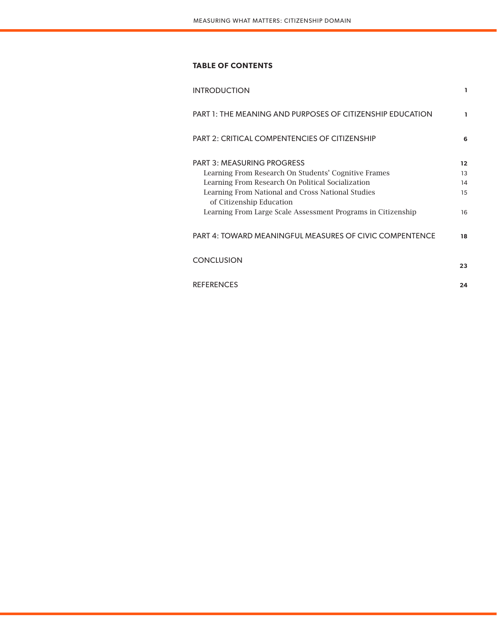# **TABLE OF CONTENTS**

| <b>INTRODUCTION</b>                                                           | 1                 |
|-------------------------------------------------------------------------------|-------------------|
| PART 1: THE MEANING AND PURPOSES OF CITIZENSHIP EDUCATION                     | ı                 |
| PART 2: CRITICAL COMPENTENCIES OF CITIZENSHIP                                 | 6                 |
| <b>PART 3: MEASURING PROGRESS</b>                                             | $12 \overline{ }$ |
| Learning From Research On Students' Cognitive Frames                          | 13                |
| Learning From Research On Political Socialization                             | 14                |
| Learning From National and Cross National Studies<br>of Citizenship Education | 15                |
| Learning From Large Scale Assessment Programs in Citizenship                  | 16                |
| PART 4: TOWARD MEANINGFUL MEASURES OF CIVIC COMPENTENCE                       | 18                |
| <b>CONCLUSION</b>                                                             | 23                |
| <b>REFERENCES</b>                                                             | 24                |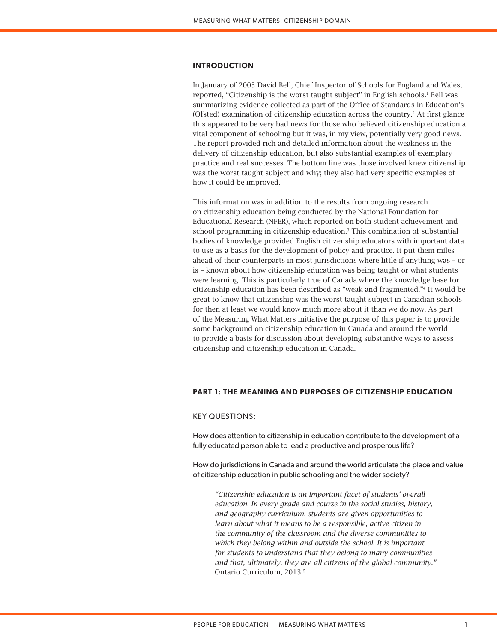# **INTRODUCTION**

In January of 2005 David Bell, Chief Inspector of Schools for England and Wales, reported, "Citizenship is the worst taught subject" in English schools.<sup>1</sup> Bell was summarizing evidence collected as part of the Office of Standards in Education's (Ofsted) examination of citizenship education across the country.2 At first glance this appeared to be very bad news for those who believed citizenship education a vital component of schooling but it was, in my view, potentially very good news. The report provided rich and detailed information about the weakness in the delivery of citizenship education, but also substantial examples of exemplary practice and real successes. The bottom line was those involved knew citizenship was the worst taught subject and why; they also had very specific examples of how it could be improved.

This information was in addition to the results from ongoing research on citizenship education being conducted by the National Foundation for Educational Research (NFER), which reported on both student achievement and school programming in citizenship education.3 This combination of substantial bodies of knowledge provided English citizenship educators with important data to use as a basis for the development of policy and practice. It put them miles ahead of their counterparts in most jurisdictions where little if anything was – or is – known about how citizenship education was being taught or what students were learning. This is particularly true of Canada where the knowledge base for citizenship education has been described as "weak and fragmented."4 It would be great to know that citizenship was the worst taught subject in Canadian schools for then at least we would know much more about it than we do now. As part of the Measuring What Matters initiative the purpose of this paper is to provide some background on citizenship education in Canada and around the world to provide a basis for discussion about developing substantive ways to assess citizenship and citizenship education in Canada.

# **PART 1: THE MEANING AND PURPOSES OF CITIZENSHIP EDUCATION**

KEY QUESTIONS:

How does attention to citizenship in education contribute to the development of a fully educated person able to lead a productive and prosperous life?

How do jurisdictions in Canada and around the world articulate the place and value of citizenship education in public schooling and the wider society?

*"Citizenship education is an important facet of students' overall education. In every grade and course in the social studies, history, and geography curriculum, students are given opportunities to*  learn about what it means to be a responsible, active citizen in *the community of the classroom and the diverse communities to which they belong within and outside the school. It is important for students to understand that they belong to many communities and that, ultimately, they are all citizens of the global community."*  Ontario Curriculum, 2013.5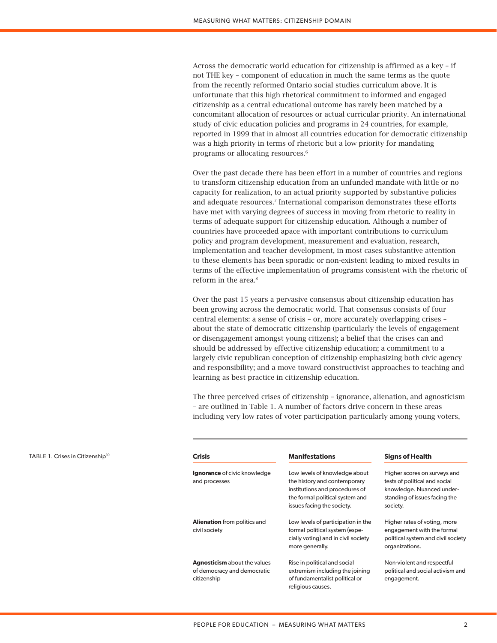Across the democratic world education for citizenship is affirmed as a key – if not THE key – component of education in much the same terms as the quote from the recently reformed Ontario social studies curriculum above. It is unfortunate that this high rhetorical commitment to informed and engaged citizenship as a central educational outcome has rarely been matched by a concomitant allocation of resources or actual curricular priority. An international study of civic education policies and programs in 24 countries, for example, reported in 1999 that in almost all countries education for democratic citizenship was a high priority in terms of rhetoric but a low priority for mandating programs or allocating resources.6

Over the past decade there has been effort in a number of countries and regions to transform citizenship education from an unfunded mandate with little or no capacity for realization, to an actual priority supported by substantive policies and adequate resources.7 International comparison demonstrates these efforts have met with varying degrees of success in moving from rhetoric to reality in terms of adequate support for citizenship education. Although a number of countries have proceeded apace with important contributions to curriculum policy and program development, measurement and evaluation, research, implementation and teacher development, in most cases substantive attention to these elements has been sporadic or non-existent leading to mixed results in terms of the effective implementation of programs consistent with the rhetoric of reform in the area.<sup>8</sup>

Over the past 15 years a pervasive consensus about citizenship education has been growing across the democratic world. That consensus consists of four central elements: a sense of crisis – or, more accurately overlapping crises – about the state of democratic citizenship (particularly the levels of engagement or disengagement amongst young citizens); a belief that the crises can and should be addressed by effective citizenship education; a commitment to a largely civic republican conception of citizenship emphasizing both civic agency and responsibility; and a move toward constructivist approaches to teaching and learning as best practice in citizenship education.

The three perceived crises of citizenship – ignorance, alienation, and agnosticism – are outlined in Table 1. A number of factors drive concern in these areas including very low rates of voter participation particularly among young voters,

| <b>Crisis</b>                                                                     | <b>Manifestations</b>                                                                                                                                            | <b>Signs of Health</b>                                                                                                                  |
|-----------------------------------------------------------------------------------|------------------------------------------------------------------------------------------------------------------------------------------------------------------|-----------------------------------------------------------------------------------------------------------------------------------------|
| <b>Ignorance</b> of civic knowledge<br>and processes                              | Low levels of knowledge about<br>the history and contemporary<br>institutions and procedures of<br>the formal political system and<br>issues facing the society. | Higher scores on surveys and<br>tests of political and social<br>knowledge. Nuanced under-<br>standing of issues facing the<br>society. |
| <b>Alienation</b> from politics and<br>civil society                              | Low levels of participation in the<br>formal political system (espe-<br>cially voting) and in civil society<br>more generally.                                   | Higher rates of voting, more<br>engagement with the formal<br>political system and civil society<br>organizations.                      |
| <b>Agnosticism</b> about the values<br>of democracy and democratic<br>citizenship | Rise in political and social<br>extremism including the joining<br>of fundamentalist political or<br>religious causes.                                           | Non-violent and respectful<br>political and social activism and<br>engagement.                                                          |

TABLE 1. Crises in Citizenship<sup>10</sup>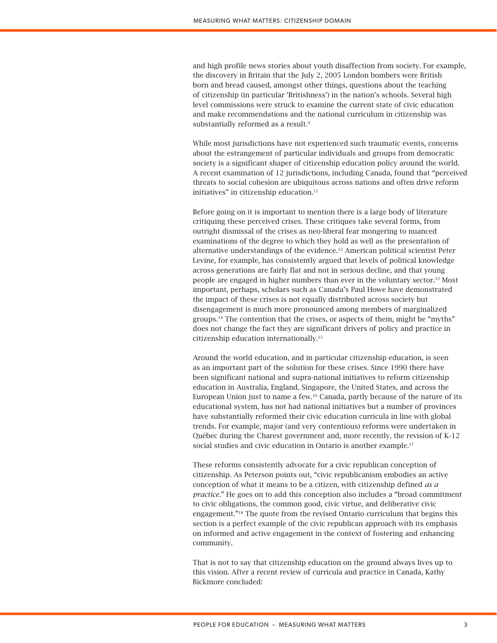and high profile news stories about youth disaffection from society. For example, the discovery in Britain that the July 2, 2005 London bombers were British born and bread caused, amongst other things, questions about the teaching of citizenship (in particular 'Britishness') in the nation's schools. Several high level commissions were struck to examine the current state of civic education and make recommendations and the national curriculum in citizenship was substantially reformed as a result.<sup>9</sup>

While most jurisdictions have not experienced such traumatic events, concerns about the estrangement of particular individuals and groups from democratic society is a significant shaper of citizenship education policy around the world. A recent examination of 12 jurisdictions, including Canada, found that "perceived threats to social cohesion are ubiquitous across nations and often drive reform initiatives" in citizenship education.<sup>11</sup>

Before going on it is important to mention there is a large body of literature critiquing these perceived crises. These critiques take several forms, from outright dismissal of the crises as neo-liberal fear mongering to nuanced examinations of the degree to which they hold as well as the presentation of alternative understandings of the evidence.12 American political scientist Peter Levine, for example, has consistently argued that levels of political knowledge across generations are fairly flat and not in serious decline, and that young people are engaged in higher numbers than ever in the voluntary sector.13 Most important, perhaps, scholars such as Canada's Paul Howe have demonstrated the impact of these crises is not equally distributed across society but disengagement is much more pronounced among members of marginalized groups.14 The contention that the crises, or aspects of them, might be "myths" does not change the fact they are significant drivers of policy and practice in citizenship education internationally.15

Around the world education, and in particular citizenship education, is seen as an important part of the solution for these crises. Since 1990 there have been significant national and supra-national initiatives to reform citizenship education in Australia, England, Singapore, the United States, and across the European Union just to name a few.16 Canada, partly because of the nature of its educational system, has not had national initiatives but a number of provinces have substantially reformed their civic education curricula in line with global trends. For example, major (and very contentious) reforms were undertaken in Québec during the Charest government and, more recently, the revision of K-12 social studies and civic education in Ontario is another example.<sup>17</sup>

These reforms consistently advocate for a civic republican conception of citizenship. As Peterson points out, "civic republicanism embodies an active conception of what it means to be a citizen, with citizenship defined *as a practice*." He goes on to add this conception also includes a "broad commitment to civic obligations, the common good, civic virtue, and deliberative civic engagement."18 The quote from the revised Ontario curriculum that begins this section is a perfect example of the civic republican approach with its emphasis on informed and active engagement in the context of fostering and enhancing community.

That is not to say that citizenship education on the ground always lives up to this vision. After a recent review of curricula and practice in Canada, Kathy Bickmore concluded: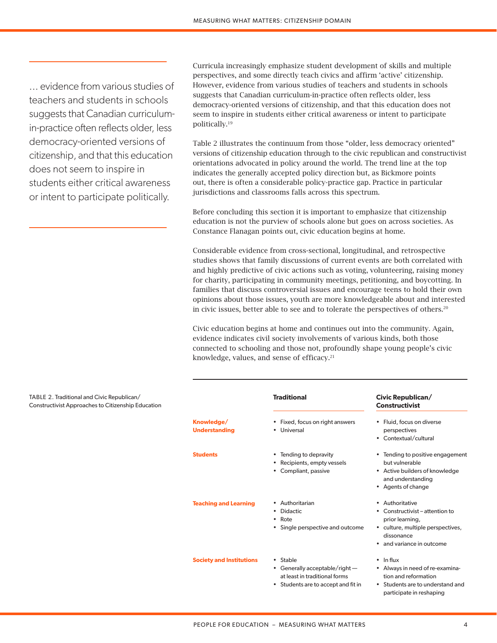... evidence from various studies of teachers and students in schools suggests that Canadian curriculumin-practice often reflects older, less democracy-oriented versions of citizenship, and that this education does not seem to inspire in students either critical awareness or intent to participate politically.

Curricula increasingly emphasize student development of skills and multiple perspectives, and some directly teach civics and affirm 'active' citizenship. However, evidence from various studies of teachers and students in schools suggests that Canadian curriculum-in-practice often reflects older, less democracy-oriented versions of citizenship, and that this education does not seem to inspire in students either critical awareness or intent to participate politically.19

Table 2 illustrates the continuum from those "older, less democracy oriented" versions of citizenship education through to the civic republican and constructivist orientations advocated in policy around the world. The trend line at the top indicates the generally accepted policy direction but, as Bickmore points out, there is often a considerable policy-practice gap. Practice in particular jurisdictions and classrooms falls across this spectrum.

Before concluding this section it is important to emphasize that citizenship education is not the purview of schools alone but goes on across societies. As Constance Flanagan points out, civic education begins at home.

Considerable evidence from cross-sectional, longitudinal, and retrospective studies shows that family discussions of current events are both correlated with and highly predictive of civic actions such as voting, volunteering, raising money for charity, participating in community meetings, petitioning, and boycotting. In families that discuss controversial issues and encourage teens to hold their own opinions about those issues, youth are more knowledgeable about and interested in civic issues, better able to see and to tolerate the perspectives of others.20

Civic education begins at home and continues out into the community. Again, evidence indicates civil society involvements of various kinds, both those connected to schooling and those not, profoundly shape young people's civic knowledge, values, and sense of efficacy.<sup>21</sup>

| n |                                    | <b>Traditional</b>                                                                                               | Civic Republican/<br><b>Constructivist</b>                                                                                                                     |
|---|------------------------------------|------------------------------------------------------------------------------------------------------------------|----------------------------------------------------------------------------------------------------------------------------------------------------------------|
|   | Knowledge/<br><b>Understanding</b> | • Fixed, focus on right answers<br>Universal                                                                     | Fluid, focus on diverse<br>$\bullet$<br>perspectives<br>• Contextual/cultural                                                                                  |
|   | <b>Students</b>                    | • Tending to depravity<br>Recipients, empty vessels<br>Compliant, passive                                        | • Tending to positive engagement<br>but vulnerable<br>• Active builders of knowledge<br>and understanding<br>• Agents of change                                |
|   | <b>Teaching and Learning</b>       | • Authoritarian<br>Didactic<br>٠<br>$\bullet$ Rote<br>Single perspective and outcome<br>$\bullet$                | Authoritative<br>$\bullet$<br>• Constructivist – attention to<br>prior learning,<br>• culture, multiple perspectives,<br>dissonance<br>and variance in outcome |
|   | <b>Society and Institutions</b>    | • Stable<br>• Generally acceptable/right -<br>at least in traditional forms<br>Students are to accept and fit in | $\cdot$ In flux<br>• Always in need of re-examina-<br>tion and reformation<br>• Students are to understand and<br>participate in reshaping                     |

TABLE 2. Traditional and Civic Republican/ Constructivist Approaches to Citizenship Education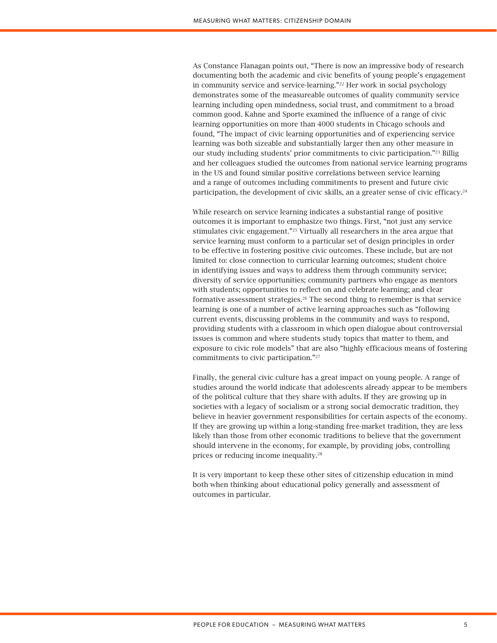As Constance Flanagan points out, "There is now an impressive body of research documenting both the academic and civic benefits of young people's engagement in community service and service-learning."<sup>22</sup> Her work in social psychology demonstrates some of the measureable outcomes of quality community service learning including open mindedness, social trust, and commitment to a broad common good. Kahne and Sporte examined the influence of a range of civic learning opportunities on more than 4000 students in Chicago schools and found, "The impact of civic learning opportunities and of experiencing service learning was both sizeable and substantially larger then any other measure in our study including students' prior commitments to civic participation."23 Billig and her colleagues studied the outcomes from national service learning programs in the US and found similar positive correlations between service learning and a range of outcomes including commitments to present and future civic participation, the development of civic skills, an a greater sense of civic efficacy.<sup>24</sup>

While research on service learning indicates a substantial range of positive outcomes it is important to emphasize two things. First, "not just any service stimulates civic engagement."25 Virtually all researchers in the area argue that service learning must conform to a particular set of design principles in order to be effective in fostering positive civic outcomes. These include, but are not limited to: close connection to curricular learning outcomes; student choice in identifying issues and ways to address them through community service; diversity of service opportunities; community partners who engage as mentors with students; opportunities to reflect on and celebrate learning; and clear formative assessment strategies.<sup>26</sup> The second thing to remember is that service learning is one of a number of active learning approaches such as "following current events, discussing problems in the community and ways to respond, providing students with a classroom in which open dialogue about controversial issues is common and where students study topics that matter to them, and exposure to civic role models" that are also "highly efficacious means of fostering commitments to civic participation."27

Finally, the general civic culture has a great impact on young people. A range of studies around the world indicate that adolescents already appear to be members of the political culture that they share with adults. If they are growing up in societies with a legacy of socialism or a strong social democratic tradition, they believe in heavier government responsibilities for certain aspects of the economy. If they are growing up within a long-standing free-market tradition, they are less likely than those from other economic traditions to believe that the government should intervene in the economy, for example, by providing jobs, controlling prices or reducing income inequality.28

It is very important to keep these other sites of citizenship education in mind both when thinking about educational policy generally and assessment of outcomes in particular.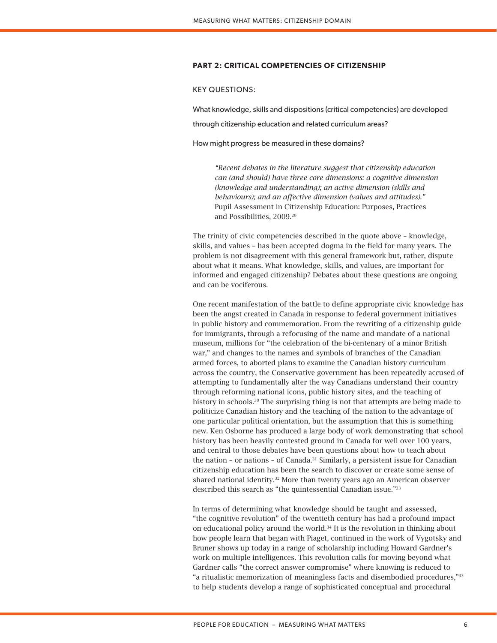# **PART 2: CRITICAL COMPETENCIES OF CITIZENSHIP**

# KEY QUESTIONS:

What knowledge, skills and dispositions (critical competencies) are developed through citizenship education and related curriculum areas?

How might progress be measured in these domains?

*"Recent debates in the literature suggest that citizenship education can (and should) have three core dimensions: a cognitive dimension (knowledge and understanding); an active dimension (skills and behaviours); and an affective dimension (values and attitudes)."*  Pupil Assessment in Citizenship Education: Purposes, Practices and Possibilities, 2009.29

The trinity of civic competencies described in the quote above – knowledge, skills, and values – has been accepted dogma in the field for many years. The problem is not disagreement with this general framework but, rather, dispute about what it means. What knowledge, skills, and values, are important for informed and engaged citizenship? Debates about these questions are ongoing and can be vociferous.

One recent manifestation of the battle to define appropriate civic knowledge has been the angst created in Canada in response to federal government initiatives in public history and commemoration. From the rewriting of a citizenship guide for immigrants, through a refocusing of the name and mandate of a national museum, millions for "the celebration of the bi-centenary of a minor British war," and changes to the names and symbols of branches of the Canadian armed forces, to aborted plans to examine the Canadian history curriculum across the country, the Conservative government has been repeatedly accused of attempting to fundamentally alter the way Canadians understand their country through reforming national icons, public history sites, and the teaching of history in schools.<sup>30</sup> The surprising thing is not that attempts are being made to politicize Canadian history and the teaching of the nation to the advantage of one particular political orientation, but the assumption that this is something new. Ken Osborne has produced a large body of work demonstrating that school history has been heavily contested ground in Canada for well over 100 years, and central to those debates have been questions about how to teach about the nation - or nations - of Canada.<sup>31</sup> Similarly, a persistent issue for Canadian citizenship education has been the search to discover or create some sense of shared national identity.<sup>32</sup> More than twenty years ago an American observer described this search as "the quintessential Canadian issue."33

In terms of determining what knowledge should be taught and assessed, "the cognitive revolution" of the twentieth century has had a profound impact on educational policy around the world.34 It is the revolution in thinking about how people learn that began with Piaget, continued in the work of Vygotsky and Bruner shows up today in a range of scholarship including Howard Gardner's work on multiple intelligences. This revolution calls for moving beyond what Gardner calls "the correct answer compromise" where knowing is reduced to "a ritualistic memorization of meaningless facts and disembodied procedures,"35 to help students develop a range of sophisticated conceptual and procedural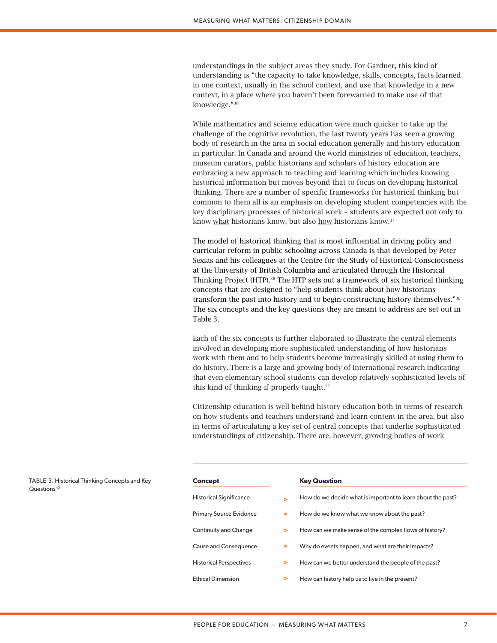understandings in the subject areas they study. For Gardner, this kind of understanding is "the capacity to take knowledge, skills, concepts, facts learned in one context, usually in the school context, and use that knowledge in a new context, in a place where you haven't been forewarned to make use of that knowledge."36

While mathematics and science education were much quicker to take up the challenge of the cognitive revolution, the last twenty years has seen a growing body of research in the area in social education generally and history education in particular. In Canada and around the world ministries of education, teachers, museum curators, public historians and scholars of history education are embracing a new approach to teaching and learning which includes knowing historical information but moves beyond that to focus on developing historical thinking. There are a number of specific frameworks for historical thinking but common to them all is an emphasis on developing student competencies with the key disciplinary processes of historical work – students are expected not only to know what historians know, but also how historians know.<sup>37</sup>

The model of historical thinking that is most influential in driving policy and curricular reform in public schooling across Canada is that developed by Peter Sexias and his colleagues at the Centre for the Study of Historical Consciousness at the University of British Columbia and articulated through the Historical Thinking Project (HTP).38 The HTP sets out a framework of six historical thinking concepts that are designed to "help students think about how historians transform the past into history and to begin constructing history themselves."39 The six concepts and the key questions they are meant to address are set out in Table 3.

Each of the six concepts is further elaborated to illustrate the central elements involved in developing more sophisticated understanding of how historians work with them and to help students become increasingly skilled at using them to do history. There is a large and growing body of international research indicating that even elementary school students can develop relatively sophisticated levels of this kind of thinking if properly taught.<sup>41</sup>

Citizenship education is well behind history education both in terms of research on how students and teachers understand and learn content in the area, but also in terms of articulating a key set of central concepts that underlie sophisticated understandings of citizenship. There are, however, growing bodies of work

| Concept                        |        | <b>Key Question</b>                                         |
|--------------------------------|--------|-------------------------------------------------------------|
| <b>Historical Significance</b> |        | How do we decide what is important to learn about the past? |
| <b>Primary Source Evidence</b> | >      | How do we know what we know about the past?                 |
| Continuity and Change          | $\geq$ | How can we make sense of the complex flows of history?      |
| Cause and Consequence          | $\geq$ | Why do events happen, and what are their impacts?           |
| <b>Historical Perspectives</b> | >      | How can we better understand the people of the past?        |
| <b>Ethical Dimension</b>       | >      | How can history help us to live in the present?             |

TABLE 3. Historical Thinking Concepts and Key Questions<sup>40</sup>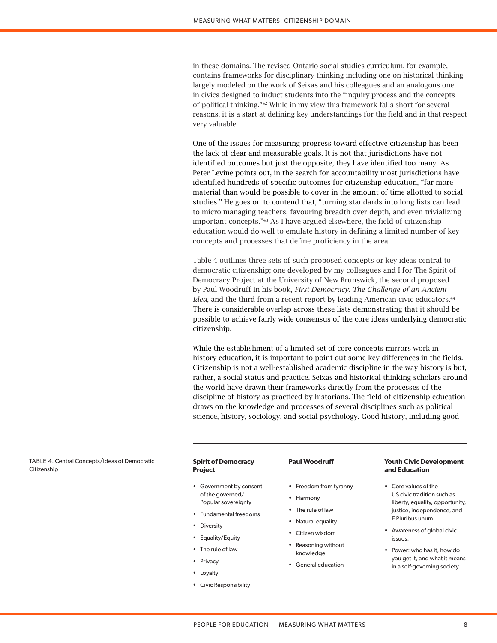in these domains. The revised Ontario social studies curriculum, for example, contains frameworks for disciplinary thinking including one on historical thinking largely modeled on the work of Seixas and his colleagues and an analogous one in civics designed to induct students into the "inquiry process and the concepts of political thinking."42 While in my view this framework falls short for several reasons, it is a start at defining key understandings for the field and in that respect very valuable.

One of the issues for measuring progress toward effective citizenship has been the lack of clear and measurable goals. It is not that jurisdictions have not identified outcomes but just the opposite, they have identified too many. As Peter Levine points out, in the search for accountability most jurisdictions have identified hundreds of specific outcomes for citizenship education, "far more material than would be possible to cover in the amount of time allotted to social studies." He goes on to contend that, "turning standards into long lists can lead to micro managing teachers, favouring breadth over depth, and even trivializing important concepts."43 As I have argued elsewhere, the field of citizenship education would do well to emulate history in defining a limited number of key concepts and processes that define proficiency in the area.

Table 4 outlines three sets of such proposed concepts or key ideas central to democratic citizenship; one developed by my colleagues and I for The Spirit of Democracy Project at the University of New Brunswick, the second proposed by Paul Woodruff in his book, *First Democracy: The Challenge of an Ancient Idea*, and the third from a recent report by leading American civic educators.<sup>44</sup> There is considerable overlap across these lists demonstrating that it should be possible to achieve fairly wide consensus of the core ideas underlying democratic citizenship.

While the establishment of a limited set of core concepts mirrors work in history education, it is important to point out some key differences in the fields. Citizenship is not a well-established academic discipline in the way history is but, rather, a social status and practice. Seixas and historical thinking scholars around the world have drawn their frameworks directly from the processes of the discipline of history as practiced by historians. The field of citizenship education draws on the knowledge and processes of several disciplines such as political science, history, sociology, and social psychology. Good history, including good

TABLE 4. Central Concepts/Ideas of Democratic **Citizenship** 

| <b>Spirit of Democracy</b><br><b>Project</b> | <b>Paul Woodruff</b>             | <b>Youth Civic Development</b><br>and Education               |  |
|----------------------------------------------|----------------------------------|---------------------------------------------------------------|--|
| • Government by consent                      | • Freedom from tyranny           | • Core values of the                                          |  |
| of the governed/<br>Popular sovereignty      | • Harmony                        | US civic tradition such as<br>liberty, equality, opportunity, |  |
| • Fundamental freedoms                       | • The rule of law                | justice, independence, and                                    |  |
| Diversity<br>$\bullet$                       | • Natural equality               | E Pluribus unum                                               |  |
| • Equality/Equity                            | • Citizen wisdom                 | • Awareness of global civic<br>issues;                        |  |
| • The rule of law                            | • Reasoning without<br>knowledge | • Power: who has it, how do                                   |  |

- General education
- you get it, and what it means in a self-governing society

• Privacy • Loyalty

• Civic Responsibility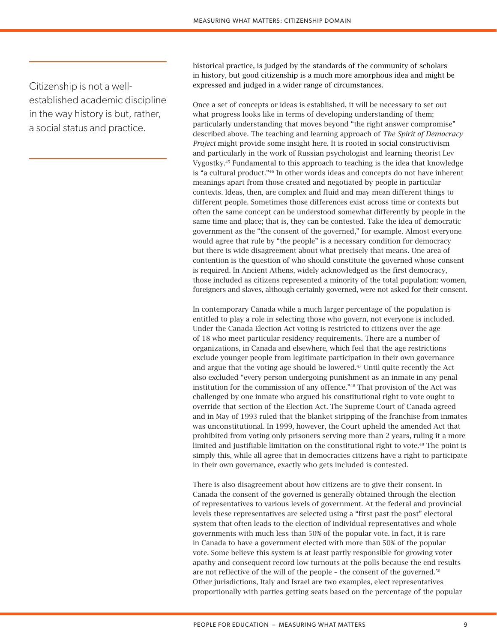Citizenship is not a wellestablished academic discipline in the way history is but, rather, a social status and practice.

historical practice, is judged by the standards of the community of scholars in history, but good citizenship is a much more amorphous idea and might be expressed and judged in a wider range of circumstances.

Once a set of concepts or ideas is established, it will be necessary to set out what progress looks like in terms of developing understanding of them; particularly understanding that moves beyond "the right answer compromise" described above. The teaching and learning approach of *The Spirit of Democracy Project* might provide some insight here. It is rooted in social constructivism and particularly in the work of Russian psychologist and learning theorist Lev Vygostky.45 Fundamental to this approach to teaching is the idea that knowledge is "a cultural product."46 In other words ideas and concepts do not have inherent meanings apart from those created and negotiated by people in particular contexts. Ideas, then, are complex and fluid and may mean different things to different people. Sometimes those differences exist across time or contexts but often the same concept can be understood somewhat differently by people in the same time and place; that is, they can be contested. Take the idea of democratic government as the "the consent of the governed," for example. Almost everyone would agree that rule by "the people" is a necessary condition for democracy but there is wide disagreement about what precisely that means. One area of contention is the question of who should constitute the governed whose consent is required. In Ancient Athens, widely acknowledged as the first democracy, those included as citizens represented a minority of the total population: women, foreigners and slaves, although certainly governed, were not asked for their consent.

In contemporary Canada while a much larger percentage of the population is entitled to play a role in selecting those who govern, not everyone is included. Under the Canada Election Act voting is restricted to citizens over the age of 18 who meet particular residency requirements. There are a number of organizations, in Canada and elsewhere, which feel that the age restrictions exclude younger people from legitimate participation in their own governance and argue that the voting age should be lowered.47 Until quite recently the Act also excluded "every person undergoing punishment as an inmate in any penal institution for the commission of any offence."48 That provision of the Act was challenged by one inmate who argued his constitutional right to vote ought to override that section of the Election Act. The Supreme Court of Canada agreed and in May of 1993 ruled that the blanket stripping of the franchise from inmates was unconstitutional. In 1999, however, the Court upheld the amended Act that prohibited from voting only prisoners serving more than 2 years, ruling it a more limited and justifiable limitation on the constitutional right to vote.49 The point is simply this, while all agree that in democracies citizens have a right to participate in their own governance, exactly who gets included is contested.

There is also disagreement about how citizens are to give their consent. In Canada the consent of the governed is generally obtained through the election of representatives to various levels of government. At the federal and provincial levels these representatives are selected using a "first past the post" electoral system that often leads to the election of individual representatives and whole governments with much less than 50% of the popular vote. In fact, it is rare in Canada to have a government elected with more than 50% of the popular vote. Some believe this system is at least partly responsible for growing voter apathy and consequent record low turnouts at the polls because the end results are not reflective of the will of the people - the consent of the governed.<sup>50</sup> Other jurisdictions, Italy and Israel are two examples, elect representatives proportionally with parties getting seats based on the percentage of the popular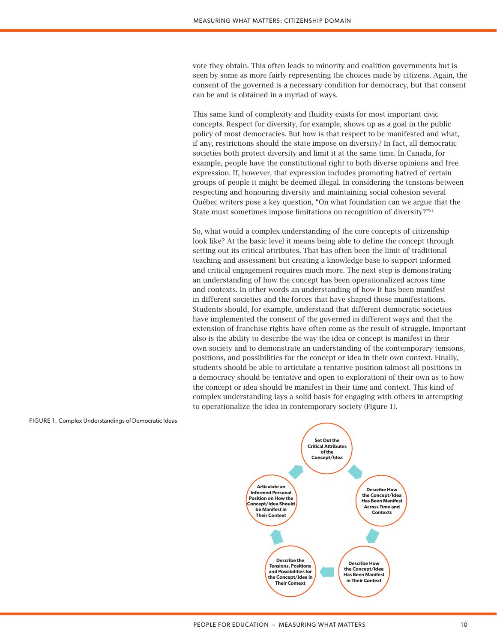vote they obtain. This often leads to minority and coalition governments but is seen by some as more fairly representing the choices made by citizens. Again, the consent of the governed is a necessary condition for democracy, but that consent can be and is obtained in a myriad of ways.

This same kind of complexity and fluidity exists for most important civic concepts. Respect for diversity, for example, shows up as a goal in the public policy of most democracies. But how is that respect to be manifested and what, if any, restrictions should the state impose on diversity? In fact, all democratic societies both protect diversity and limit it at the same time. In Canada, for example, people have the constitutional right to both diverse opinions and free expression. If, however, that expression includes promoting hatred of certain groups of people it might be deemed illegal. In considering the tensions between respecting and honouring diversity and maintaining social cohesion several Québec writers pose a key question, "On what foundation can we argue that the State must sometimes impose limitations on recognition of diversity?"51

So, what would a complex understanding of the core concepts of citizenship look like? At the basic level it means being able to define the concept through setting out its critical attributes. That has often been the limit of traditional teaching and assessment but creating a knowledge base to support informed and critical engagement requires much more. The next step is demonstrating an understanding of how the concept has been operationalized across time and contexts. In other words an understanding of how it has been manifest in different societies and the forces that have shaped those manifestations. Students should, for example, understand that different democratic societies have implemented the consent of the governed in different ways and that the extension of franchise rights have often come as the result of struggle. Important also is the ability to describe the way the idea or concept is manifest in their own society and to demonstrate an understanding of the contemporary tensions, positions, and possibilities for the concept or idea in their own context. Finally, students should be able to articulate a tentative position (almost all positions in a democracy should be tentative and open to exploration) of their own as to how the concept or idea should be manifest in their time and context. This kind of complex understanding lays a solid basis for engaging with others in attempting to operationalize the idea in contemporary society (Figure 1).

#### FIGURE 1. Complex Understandings of Democratic Ideas

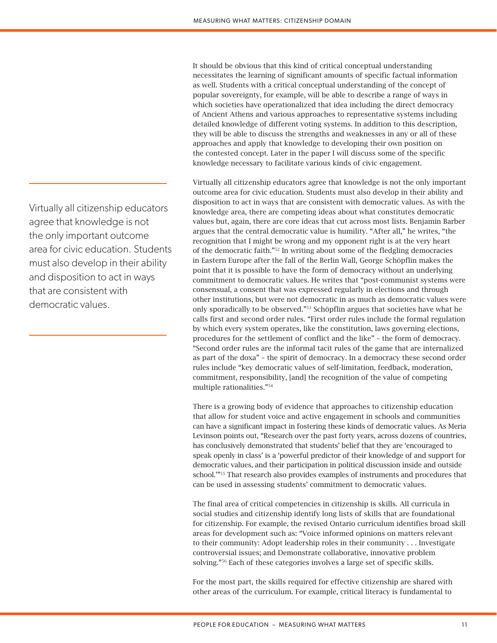It should be obvious that this kind of critical conceptual understanding necessitates the learning of significant amounts of specific factual information as well. Students with a critical conceptual understanding of the concept of popular sovereignty, for example, will be able to describe a range of ways in which societies have operationalized that idea including the direct democracy of Ancient Athens and various approaches to representative systems including detailed knowledge of different voting systems. In addition to this description, they will be able to discuss the strengths and weaknesses in any or all of these approaches and apply that knowledge to developing their own position on the contested concept. Later in the paper I will discuss some of the specific knowledge necessary to facilitate various kinds of civic engagement.

Virtually all citizenship educators agree that knowledge is not the only important outcome area for civic education. Students must also develop in their ability and disposition to act in ways that are consistent with democratic values. As with the knowledge area, there are competing ideas about what constitutes democratic values but, again, there are core ideas that cut across most lists. Benjamin Barber argues that the central democratic value is humility. "After all," he writes, "the recognition that I might be wrong and my opponent right is at the very heart of the democratic faith."52 In writing about some of the fledgling democracies in Eastern Europe after the fall of the Berlin Wall, George Schöpflin makes the point that it is possible to have the form of democracy without an underlying commitment to democratic values. He writes that "post-communist systems were consensual, a consent that was expressed regularly in elections and through other institutions, but were not democratic in as much as democratic values were only sporadically to be observed."53 Schöpflin argues that societies have what he calls first and second order rules. "First order rules include the formal regulation by which every system operates, like the constitution, laws governing elections, procedures for the settlement of conflict and the like" – the form of democracy. "Second order rules are the informal tacit rules of the game that are internalized as part of the doxa" – the spirit of democracy. In a democracy these second order rules include "key democratic values of self-limitation, feedback, moderation, commitment, responsibility, [and] the recognition of the value of competing multiple rationalities."54

There is a growing body of evidence that approaches to citizenship education that allow for student voice and active engagement in schools and communities can have a significant impact in fostering these kinds of democratic values. As Meria Levinson points out, "Research over the past forty years, across dozens of countries, has conclusively demonstrated that students' belief that they are 'encouraged to speak openly in class' is a 'powerful predictor of their knowledge of and support for democratic values, and their participation in political discussion inside and outside school.'"55 That research also provides examples of instruments and procedures that can be used in assessing students' commitment to democratic values.

The final area of critical competencies in citizenship is skills. All curricula in social studies and citizenship identify long lists of skills that are foundational for citizenship. For example, the revised Ontario curriculum identifies broad skill areas for development such as: "Voice informed opinions on matters relevant to their community: Adopt leadership roles in their community . . . Investigate controversial issues; and Demonstrate collaborative, innovative problem solving."56 Each of these categories involves a large set of specific skills.

For the most part, the skills required for effective citizenship are shared with other areas of the curriculum. For example, critical literacy is fundamental to

Virtually all citizenship educators agree that knowledge is not the only important outcome area for civic education. Students must also develop in their ability and disposition to act in ways that are consistent with democratic values.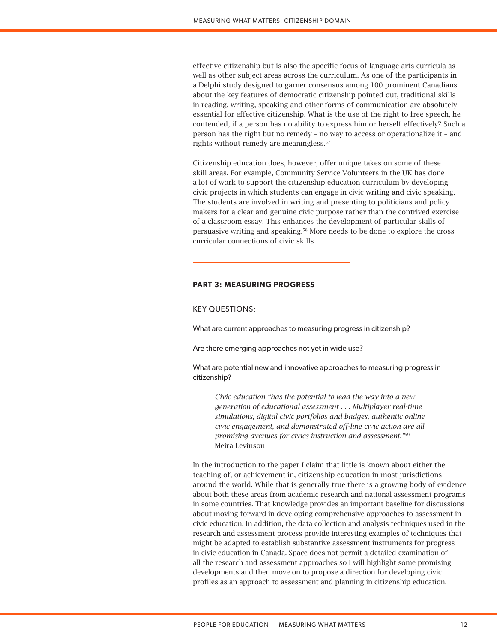effective citizenship but is also the specific focus of language arts curricula as well as other subject areas across the curriculum. As one of the participants in a Delphi study designed to garner consensus among 100 prominent Canadians about the key features of democratic citizenship pointed out, traditional skills in reading, writing, speaking and other forms of communication are absolutely essential for effective citizenship. What is the use of the right to free speech, he contended, if a person has no ability to express him or herself effectively? Such a person has the right but no remedy – no way to access or operationalize it – and rights without remedy are meaningless.57

Citizenship education does, however, offer unique takes on some of these skill areas. For example, Community Service Volunteers in the UK has done a lot of work to support the citizenship education curriculum by developing civic projects in which students can engage in civic writing and civic speaking. The students are involved in writing and presenting to politicians and policy makers for a clear and genuine civic purpose rather than the contrived exercise of a classroom essay. This enhances the development of particular skills of persuasive writing and speaking.58 More needs to be done to explore the cross curricular connections of civic skills.

# **PART 3: MEASURING PROGRESS**

KEY QUESTIONS:

What are current approaches to measuring progress in citizenship?

Are there emerging approaches not yet in wide use?

What are potential new and innovative approaches to measuring progress in citizenship?

*Civic education "has the potential to lead the way into a new generation of educational assessment . . . Multiplayer real-time simulations, digital civic portfolios and badges, authentic online civic engagement, and demonstrated off-line civic action are all promising avenues for civics instruction and assessment."*<sup>59</sup> Meira Levinson

In the introduction to the paper I claim that little is known about either the teaching of, or achievement in, citizenship education in most jurisdictions around the world. While that is generally true there is a growing body of evidence about both these areas from academic research and national assessment programs in some countries. That knowledge provides an important baseline for discussions about moving forward in developing comprehensive approaches to assessment in civic education. In addition, the data collection and analysis techniques used in the research and assessment process provide interesting examples of techniques that might be adapted to establish substantive assessment instruments for progress in civic education in Canada. Space does not permit a detailed examination of all the research and assessment approaches so I will highlight some promising developments and then move on to propose a direction for developing civic profiles as an approach to assessment and planning in citizenship education.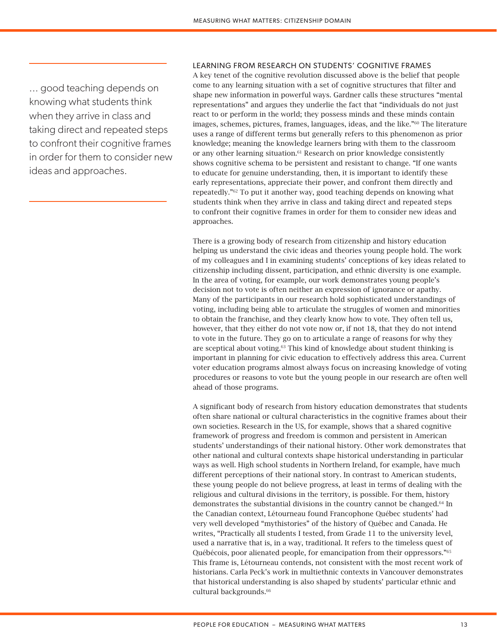... good teaching depends on knowing what students think when they arrive in class and taking direct and repeated steps to confront their cognitive frames in order for them to consider new ideas and approaches.

# LEARNING FROM RESEARCH ON STUDENTS' COGNITIVE FRAMES

A key tenet of the cognitive revolution discussed above is the belief that people come to any learning situation with a set of cognitive structures that filter and shape new information in powerful ways. Gardner calls these structures "mental representations" and argues they underlie the fact that "individuals do not just react to or perform in the world; they possess minds and these minds contain images, schemes, pictures, frames, languages, ideas, and the like."60 The literature uses a range of different terms but generally refers to this phenomenon as prior knowledge; meaning the knowledge learners bring with them to the classroom or any other learning situation.<sup>61</sup> Research on prior knowledge consistently shows cognitive schema to be persistent and resistant to change. "If one wants to educate for genuine understanding, then, it is important to identify these early representations, appreciate their power, and confront them directly and repeatedly."62 To put it another way, good teaching depends on knowing what students think when they arrive in class and taking direct and repeated steps to confront their cognitive frames in order for them to consider new ideas and approaches.

There is a growing body of research from citizenship and history education helping us understand the civic ideas and theories young people hold. The work of my colleagues and I in examining students' conceptions of key ideas related to citizenship including dissent, participation, and ethnic diversity is one example. In the area of voting, for example, our work demonstrates young people's decision not to vote is often neither an expression of ignorance or apathy. Many of the participants in our research hold sophisticated understandings of voting, including being able to articulate the struggles of women and minorities to obtain the franchise, and they clearly know how to vote. They often tell us, however, that they either do not vote now or, if not 18, that they do not intend to vote in the future. They go on to articulate a range of reasons for why they are sceptical about voting.63 This kind of knowledge about student thinking is important in planning for civic education to effectively address this area. Current voter education programs almost always focus on increasing knowledge of voting procedures or reasons to vote but the young people in our research are often well ahead of those programs.

A significant body of research from history education demonstrates that students often share national or cultural characteristics in the cognitive frames about their own societies. Research in the US, for example, shows that a shared cognitive framework of progress and freedom is common and persistent in American students' understandings of their national history. Other work demonstrates that other national and cultural contexts shape historical understanding in particular ways as well. High school students in Northern Ireland, for example, have much different perceptions of their national story. In contrast to American students, these young people do not believe progress, at least in terms of dealing with the religious and cultural divisions in the territory, is possible. For them, history demonstrates the substantial divisions in the country cannot be changed.<sup>64</sup> In the Canadian context, Létourneau found Francophone Québec students' had very well developed "mythistories" of the history of Québec and Canada. He writes, "Practically all students I tested, from Grade 11 to the university level, used a narrative that is, in a way, traditional. It refers to the timeless quest of Québécois, poor alienated people, for emancipation from their oppressors."65 This frame is, Létourneau contends, not consistent with the most recent work of historians. Carla Peck's work in multiethnic contexts in Vancouver demonstrates that historical understanding is also shaped by students' particular ethnic and cultural backgrounds.<sup>66</sup>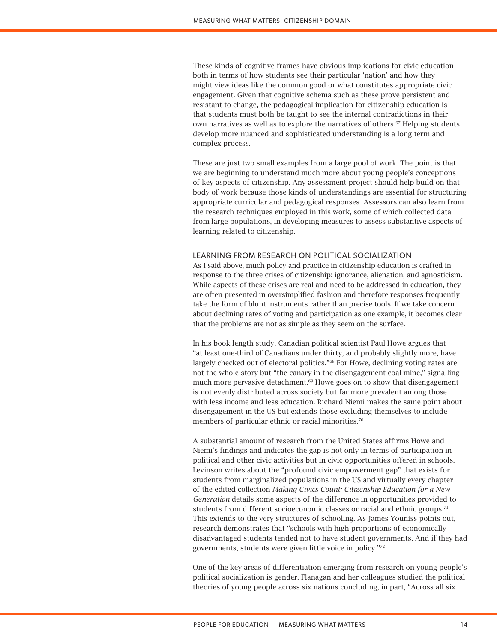These kinds of cognitive frames have obvious implications for civic education both in terms of how students see their particular 'nation' and how they might view ideas like the common good or what constitutes appropriate civic engagement. Given that cognitive schema such as these prove persistent and resistant to change, the pedagogical implication for citizenship education is that students must both be taught to see the internal contradictions in their own narratives as well as to explore the narratives of others.67 Helping students develop more nuanced and sophisticated understanding is a long term and complex process.

These are just two small examples from a large pool of work. The point is that we are beginning to understand much more about young people's conceptions of key aspects of citizenship. Any assessment project should help build on that body of work because those kinds of understandings are essential for structuring appropriate curricular and pedagogical responses. Assessors can also learn from the research techniques employed in this work, some of which collected data from large populations, in developing measures to assess substantive aspects of learning related to citizenship.

# LEARNING FROM RESEARCH ON POLITICAL SOCIALIZATION

As I said above, much policy and practice in citizenship education is crafted in response to the three crises of citizenship: ignorance, alienation, and agnosticism. While aspects of these crises are real and need to be addressed in education, they are often presented in oversimplified fashion and therefore responses frequently take the form of blunt instruments rather than precise tools. If we take concern about declining rates of voting and participation as one example, it becomes clear that the problems are not as simple as they seem on the surface.

In his book length study, Canadian political scientist Paul Howe argues that "at least one-third of Canadians under thirty, and probably slightly more, have largely checked out of electoral politics."68 For Howe, declining voting rates are not the whole story but "the canary in the disengagement coal mine," signalling much more pervasive detachment.<sup>69</sup> Howe goes on to show that disengagement is not evenly distributed across society but far more prevalent among those with less income and less education. Richard Niemi makes the same point about disengagement in the US but extends those excluding themselves to include members of particular ethnic or racial minorities.<sup>70</sup>

A substantial amount of research from the United States affirms Howe and Niemi's findings and indicates the gap is not only in terms of participation in political and other civic activities but in civic opportunities offered in schools. Levinson writes about the "profound civic empowerment gap" that exists for students from marginalized populations in the US and virtually every chapter of the edited collection *Making Civics Count: Citizenship Education for a New Generation* details some aspects of the difference in opportunities provided to students from different socioeconomic classes or racial and ethnic groups.<sup>71</sup> This extends to the very structures of schooling. As James Youniss points out, research demonstrates that "schools with high proportions of economically disadvantaged students tended not to have student governments. And if they had governments, students were given little voice in policy."72

One of the key areas of differentiation emerging from research on young people's political socialization is gender. Flanagan and her colleagues studied the political theories of young people across six nations concluding, in part, "Across all six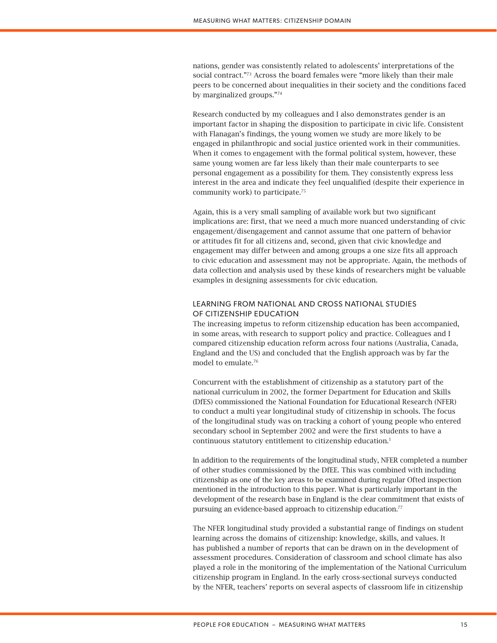nations, gender was consistently related to adolescents' interpretations of the social contract."<sup>73</sup> Across the board females were "more likely than their male peers to be concerned about inequalities in their society and the conditions faced by marginalized groups."74

Research conducted by my colleagues and I also demonstrates gender is an important factor in shaping the disposition to participate in civic life. Consistent with Flanagan's findings, the young women we study are more likely to be engaged in philanthropic and social justice oriented work in their communities. When it comes to engagement with the formal political system, however, these same young women are far less likely than their male counterparts to see personal engagement as a possibility for them. They consistently express less interest in the area and indicate they feel unqualified (despite their experience in community work) to participate.<sup>75</sup>

Again, this is a very small sampling of available work but two significant implications are: first, that we need a much more nuanced understanding of civic engagement/disengagement and cannot assume that one pattern of behavior or attitudes fit for all citizens and, second, given that civic knowledge and engagement may differ between and among groups a one size fits all approach to civic education and assessment may not be appropriate. Again, the methods of data collection and analysis used by these kinds of researchers might be valuable examples in designing assessments for civic education.

# LEARNING FROM NATIONAL AND CROSS NATIONAL STUDIES OF CITIZENSHIP EDUCATION

The increasing impetus to reform citizenship education has been accompanied, in some areas, with research to support policy and practice. Colleagues and I compared citizenship education reform across four nations (Australia, Canada, England and the US) and concluded that the English approach was by far the model to emulate.76

Concurrent with the establishment of citizenship as a statutory part of the national curriculum in 2002, the former Department for Education and Skills (DfES) commissioned the National Foundation for Educational Research (NFER) to conduct a multi year longitudinal study of citizenship in schools. The focus of the longitudinal study was on tracking a cohort of young people who entered secondary school in September 2002 and were the first students to have a continuous statutory entitlement to citizenship education.<sup>1</sup>

In addition to the requirements of the longitudinal study, NFER completed a number of other studies commissioned by the DfEE. This was combined with including citizenship as one of the key areas to be examined during regular Ofted inspection mentioned in the introduction to this paper. What is particularly important in the development of the research base in England is the clear commitment that exists of pursuing an evidence-based approach to citizenship education.<sup>77</sup>

The NFER longitudinal study provided a substantial range of findings on student learning across the domains of citizenship: knowledge, skills, and values. It has published a number of reports that can be drawn on in the development of assessment procedures. Consideration of classroom and school climate has also played a role in the monitoring of the implementation of the National Curriculum citizenship program in England. In the early cross-sectional surveys conducted by the NFER, teachers' reports on several aspects of classroom life in citizenship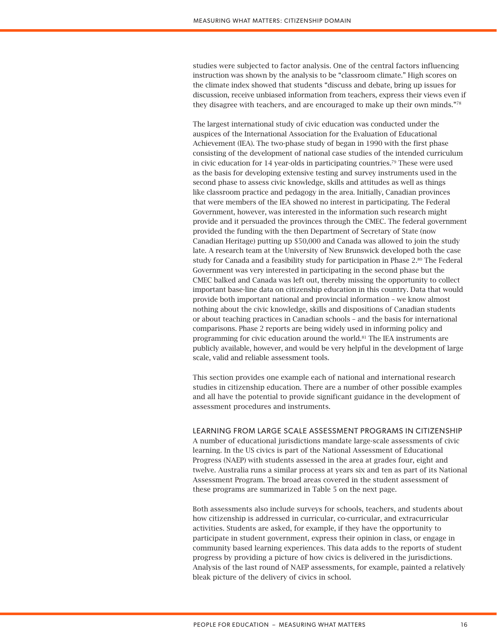studies were subjected to factor analysis. One of the central factors influencing instruction was shown by the analysis to be "classroom climate." High scores on the climate index showed that students "discuss and debate, bring up issues for discussion, receive unbiased information from teachers, express their views even if they disagree with teachers, and are encouraged to make up their own minds."78

The largest international study of civic education was conducted under the auspices of the International Association for the Evaluation of Educational Achievement (IEA). The two-phase study of began in 1990 with the first phase consisting of the development of national case studies of the intended curriculum in civic education for 14 year-olds in participating countries.<sup>79</sup> These were used as the basis for developing extensive testing and survey instruments used in the second phase to assess civic knowledge, skills and attitudes as well as things like classroom practice and pedagogy in the area. Initially, Canadian provinces that were members of the IEA showed no interest in participating. The Federal Government, however, was interested in the information such research might provide and it persuaded the provinces through the CMEC. The federal government provided the funding with the then Department of Secretary of State (now Canadian Heritage) putting up \$50,000 and Canada was allowed to join the study late. A research team at the University of New Brunswick developed both the case study for Canada and a feasibility study for participation in Phase 2.80 The Federal Government was very interested in participating in the second phase but the CMEC balked and Canada was left out, thereby missing the opportunity to collect important base-line data on citizenship education in this country. Data that would provide both important national and provincial information – we know almost nothing about the civic knowledge, skills and dispositions of Canadian students or about teaching practices in Canadian schools – and the basis for international comparisons. Phase 2 reports are being widely used in informing policy and programming for civic education around the world.81 The IEA instruments are publicly available, however, and would be very helpful in the development of large scale, valid and reliable assessment tools.

This section provides one example each of national and international research studies in citizenship education. There are a number of other possible examples and all have the potential to provide significant guidance in the development of assessment procedures and instruments.

# LEARNING FROM LARGE SCALE ASSESSMENT PROGRAMS IN CITIZENSHIP

A number of educational jurisdictions mandate large-scale assessments of civic learning. In the US civics is part of the National Assessment of Educational Progress (NAEP) with students assessed in the area at grades four, eight and twelve. Australia runs a similar process at years six and ten as part of its National Assessment Program. The broad areas covered in the student assessment of these programs are summarized in Table 5 on the next page.

Both assessments also include surveys for schools, teachers, and students about how citizenship is addressed in curricular, co-curricular, and extracurricular activities. Students are asked, for example, if they have the opportunity to participate in student government, express their opinion in class, or engage in community based learning experiences. This data adds to the reports of student progress by providing a picture of how civics is delivered in the jurisdictions. Analysis of the last round of NAEP assessments, for example, painted a relatively bleak picture of the delivery of civics in school.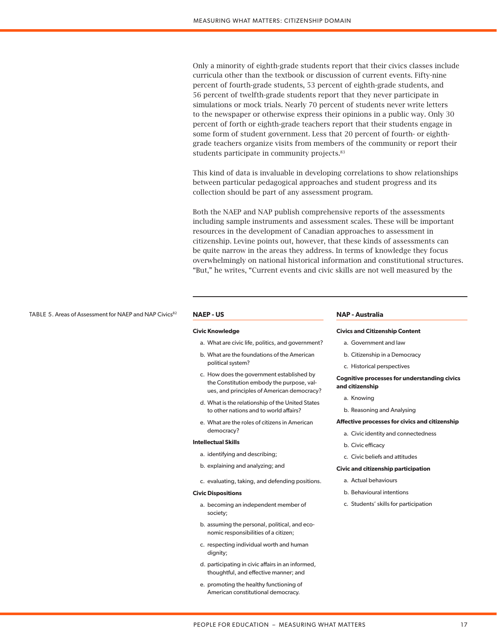Only a minority of eighth-grade students report that their civics classes include curricula other than the textbook or discussion of current events. Fifty-nine percent of fourth-grade students, 53 percent of eighth-grade students, and 56 percent of twelfth-grade students report that they never participate in simulations or mock trials. Nearly 70 percent of students never write letters to the newspaper or otherwise express their opinions in a public way. Only 30 percent of forth or eighth-grade teachers report that their students engage in some form of student government. Less that 20 percent of fourth- or eighthgrade teachers organize visits from members of the community or report their students participate in community projects.<sup>83</sup>

This kind of data is invaluable in developing correlations to show relationships between particular pedagogical approaches and student progress and its collection should be part of any assessment program.

Both the NAEP and NAP publish comprehensive reports of the assessments including sample instruments and assessment scales. These will be important resources in the development of Canadian approaches to assessment in citizenship. Levine points out, however, that these kinds of assessments can be quite narrow in the areas they address. In terms of knowledge they focus overwhelmingly on national historical information and constitutional structures. "But," he writes, "Current events and civic skills are not well measured by the

#### TABLE 5. Areas of Assessment for NAEP and NAP Civics<sup>82</sup> NAEP - US

# **Civic Knowledge**

- a. What are civic life, politics, and government?
- b. What are the foundations of the American political system?
- c. How does the government established by the Constitution embody the purpose, values, and principles of American democracy?
- d. What is the relationship of the United States to other nations and to world affairs?
- e. What are the roles of citizens in American democracy?

#### **Intellectual Skills**

- a. identifying and describing;
- b. explaining and analyzing; and
- c. evaluating, taking, and defending positions.

#### **Civic Dispositions**

- a. becoming an independent member of society;
- b. assuming the personal, political, and economic responsibilities of a citizen;
- c. respecting individual worth and human dignity;
- d. participating in civic affairs in an informed, thoughtful, and effective manner; and
- e. promoting the healthy functioning of American constitutional democracy.

#### **NAP - Australia**

#### **Civics and Citizenship Content**

- a. Government and law
- b. Citizenship in a Democracy
- c. Historical perspectives

#### **Cognitive processes for understanding civics and citizenship**

- a. Knowing
- b. Reasoning and Analysing

#### **Affective processes for civics and citizenship**

- a. Civic identity and connectedness
- b. Civic efficacy
- c. Civic beliefs and attitudes

#### **Civic and citizenship participation**

- a. Actual behaviours
- b. Behavioural intentions
- c. Students' skills for participation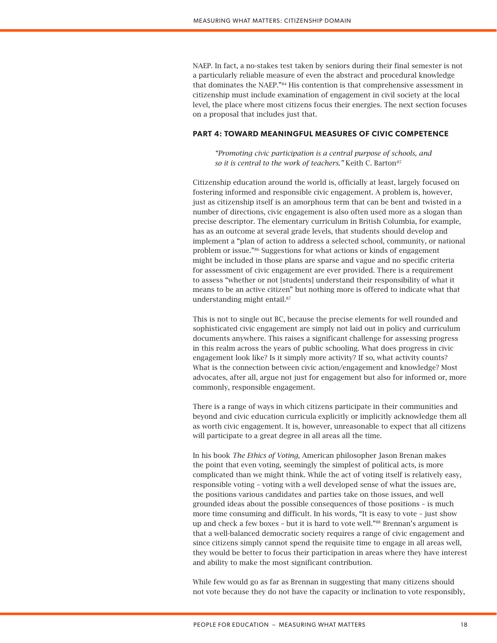NAEP. In fact, a no-stakes test taken by seniors during their final semester is not a particularly reliable measure of even the abstract and procedural knowledge that dominates the NAEP."84 His contention is that comprehensive assessment in citizenship must include examination of engagement in civil society at the local level, the place where most citizens focus their energies. The next section focuses on a proposal that includes just that.

# **PART 4: TOWARD MEANINGFUL MEASURES OF CIVIC COMPETENCE**

*"Promoting civic participation is a central purpose of schools, and so it is central to the work of teachers."* Keith C. Barton*<sup>85</sup>*

Citizenship education around the world is, officially at least, largely focused on fostering informed and responsible civic engagement. A problem is, however, just as citizenship itself is an amorphous term that can be bent and twisted in a number of directions, civic engagement is also often used more as a slogan than precise descriptor. The elementary curriculum in British Columbia, for example, has as an outcome at several grade levels, that students should develop and implement a "plan of action to address a selected school, community, or national problem or issue."86 Suggestions for what actions or kinds of engagement might be included in those plans are sparse and vague and no specific criteria for assessment of civic engagement are ever provided. There is a requirement to assess "whether or not [students] understand their responsibility of what it means to be an active citizen" but nothing more is offered to indicate what that understanding might entail.87

This is not to single out BC, because the precise elements for well rounded and sophisticated civic engagement are simply not laid out in policy and curriculum documents anywhere. This raises a significant challenge for assessing progress in this realm across the years of public schooling. What does progress in civic engagement look like? Is it simply more activity? If so, what activity counts? What is the connection between civic action/engagement and knowledge? Most advocates, after all, argue not just for engagement but also for informed or, more commonly, responsible engagement.

There is a range of ways in which citizens participate in their communities and beyond and civic education curricula explicitly or implicitly acknowledge them all as worth civic engagement. It is, however, unreasonable to expect that all citizens will participate to a great degree in all areas all the time.

In his book *The Ethics of Voting*, American philosopher Jason Brenan makes the point that even voting, seemingly the simplest of political acts, is more complicated than we might think. While the act of voting itself is relatively easy, responsible voting – voting with a well developed sense of what the issues are, the positions various candidates and parties take on those issues, and well grounded ideas about the possible consequences of those positions – is much more time consuming and difficult. In his words, "It is easy to vote – just show up and check a few boxes – but it is hard to vote well."88 Brennan's argument is that a well-balanced democratic society requires a range of civic engagement and since citizens simply cannot spend the requisite time to engage in all areas well, they would be better to focus their participation in areas where they have interest and ability to make the most significant contribution.

While few would go as far as Brennan in suggesting that many citizens should not vote because they do not have the capacity or inclination to vote responsibly,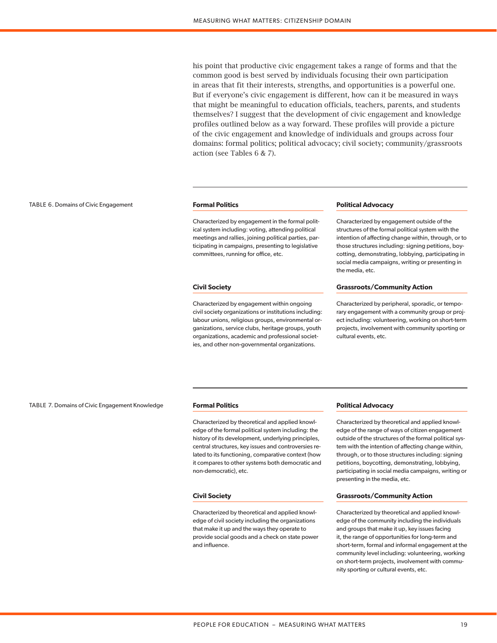his point that productive civic engagement takes a range of forms and that the common good is best served by individuals focusing their own participation in areas that fit their interests, strengths, and opportunities is a powerful one. But if everyone's civic engagement is different, how can it be measured in ways that might be meaningful to education officials, teachers, parents, and students themselves? I suggest that the development of civic engagement and knowledge profiles outlined below as a way forward. These profiles will provide a picture of the civic engagement and knowledge of individuals and groups across four domains: formal politics; political advocacy; civil society; community/grassroots action (see Tables 6 & 7).

#### TABLE 6. Domains of Civic Engagement **Formal Politics**

Characterized by engagement in the formal political system including: voting, attending political meetings and rallies, joining political parties, participating in campaigns, presenting to legislative committees, running for office, etc.

#### **Civil Society**

Characterized by engagement within ongoing civil society organizations or institutions including: labour unions, religious groups, environmental organizations, service clubs, heritage groups, youth organizations, academic and professional societies, and other non-governmental organizations.

#### **Political Advocacy**

Characterized by engagement outside of the structures of the formal political system with the intention of affecting change within, through, or to those structures including: signing petitions, boycotting, demonstrating, lobbying, participating in social media campaigns, writing or presenting in the media, etc.

#### **Grassroots/Community Action**

Characterized by peripheral, sporadic, or temporary engagement with a community group or project including: volunteering, working on short-term projects, involvement with community sporting or cultural events, etc.

#### TABLE 7. Domains of Civic Engagement Knowledge **Formal Politics**

Characterized by theoretical and applied knowledge of the formal political system including: the history of its development, underlying principles, central structures, key issues and controversies related to its functioning, comparative context (how it compares to other systems both democratic and non-democratic), etc.

#### **Civil Society**

Characterized by theoretical and applied knowledge of civil society including the organizations that make it up and the ways they operate to provide social goods and a check on state power and influence.

## **Political Advocacy**

Characterized by theoretical and applied knowledge of the range of ways of citizen engagement outside of the structures of the formal political system with the intention of affecting change within, through, or to those structures including: signing petitions, boycotting, demonstrating, lobbying, participating in social media campaigns, writing or presenting in the media, etc.

#### **Grassroots/Community Action**

Characterized by theoretical and applied knowledge of the community including the individuals and groups that make it up, key issues facing it, the range of opportunities for long-term and short-term, formal and informal engagement at the community level including: volunteering, working on short-term projects, involvement with community sporting or cultural events, etc.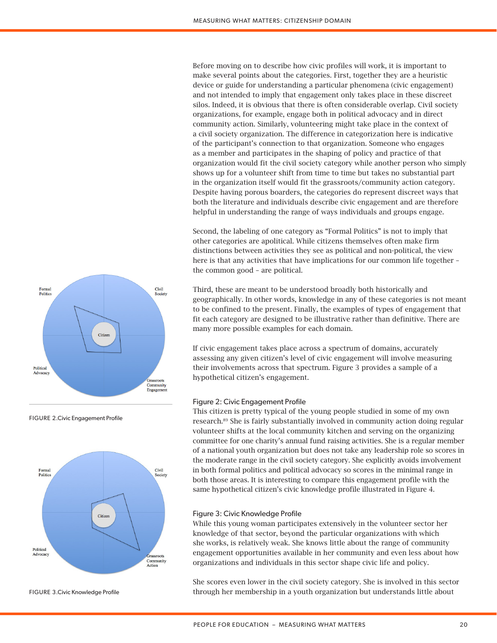Before moving on to describe how civic profiles will work, it is important to make several points about the categories. First, together they are a heuristic device or guide for understanding a particular phenomena (civic engagement) and not intended to imply that engagement only takes place in these discreet silos. Indeed, it is obvious that there is often considerable overlap. Civil society organizations, for example, engage both in political advocacy and in direct community action. Similarly, volunteering might take place in the context of a civil society organization. The difference in categorization here is indicative of the participant's connection to that organization. Someone who engages as a member and participates in the shaping of policy and practice of that organization would fit the civil society category while another person who simply shows up for a volunteer shift from time to time but takes no substantial part in the organization itself would fit the grassroots/community action category. Despite having porous boarders, the categories do represent discreet ways that both the literature and individuals describe civic engagement and are therefore helpful in understanding the range of ways individuals and groups engage.

Second, the labeling of one category as "Formal Politics" is not to imply that other categories are apolitical. While citizens themselves often make firm distinctions between activities they see as political and non-political, the view here is that any activities that have implications for our common life together – the common good – are political.

Third, these are meant to be understood broadly both historically and geographically. In other words, knowledge in any of these categories is not meant to be confined to the present. Finally, the examples of types of engagement that fit each category are designed to be illustrative rather than definitive. There are many more possible examples for each domain.

If civic engagement takes place across a spectrum of domains, accurately assessing any given citizen's level of civic engagement will involve measuring their involvements across that spectrum. Figure 3 provides a sample of a hypothetical citizen's engagement.

# Figure 2: Civic Engagement Profile

This citizen is pretty typical of the young people studied in some of my own research.89 She is fairly substantially involved in community action doing regular volunteer shifts at the local community kitchen and serving on the organizing committee for one charity's annual fund raising activities. She is a regular member of a national youth organization but does not take any leadership role so scores in the moderate range in the civil society category. She explicitly avoids involvement in both formal politics and political advocacy so scores in the minimal range in both those areas. It is interesting to compare this engagement profile with the same hypothetical citizen's civic knowledge profile illustrated in Figure 4.

# Figure 3: Civic Knowledge Profile

While this young woman participates extensively in the volunteer sector her knowledge of that sector, beyond the particular organizations with which she works, is relatively weak. She knows little about the range of community engagement opportunities available in her community and even less about how organizations and individuals in this sector shape civic life and policy.

She scores even lower in the civil society category. She is involved in this sector through her membership in a youth organization but understands little about



FIGURE 2.Civic Engagement Profile



FIGURE 3.Civic Knowledge Profile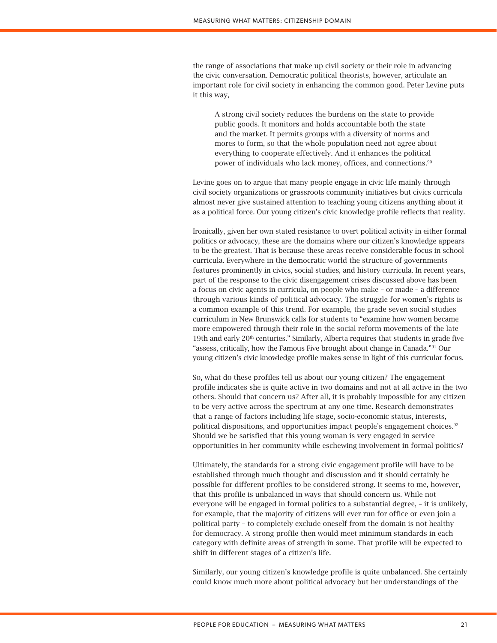the range of associations that make up civil society or their role in advancing the civic conversation. Democratic political theorists, however, articulate an important role for civil society in enhancing the common good. Peter Levine puts it this way,

A strong civil society reduces the burdens on the state to provide public goods. It monitors and holds accountable both the state and the market. It permits groups with a diversity of norms and mores to form, so that the whole population need not agree about everything to cooperate effectively. And it enhances the political power of individuals who lack money, offices, and connections*.* 90

Levine goes on to argue that many people engage in civic life mainly through civil society organizations or grassroots community initiatives but civics curricula almost never give sustained attention to teaching young citizens anything about it as a political force. Our young citizen's civic knowledge profile reflects that reality.

Ironically, given her own stated resistance to overt political activity in either formal politics or advocacy, these are the domains where our citizen's knowledge appears to be the greatest. That is because these areas receive considerable focus in school curricula. Everywhere in the democratic world the structure of governments features prominently in civics, social studies, and history curricula. In recent years, part of the response to the civic disengagement crises discussed above has been a focus on civic agents in curricula, on people who make – or made – a difference through various kinds of political advocacy. The struggle for women's rights is a common example of this trend. For example, the grade seven social studies curriculum in New Brunswick calls for students to "examine how women became more empowered through their role in the social reform movements of the late 19th and early  $20<sup>th</sup>$  centuries." Similarly, Alberta requires that students in grade five "assess, critically, how the Famous Five brought about change in Canada."91 Our young citizen's civic knowledge profile makes sense in light of this curricular focus.

So, what do these profiles tell us about our young citizen? The engagement profile indicates she is quite active in two domains and not at all active in the two others. Should that concern us? After all, it is probably impossible for any citizen to be very active across the spectrum at any one time. Research demonstrates that a range of factors including life stage, socio-economic status, interests, political dispositions, and opportunities impact people's engagement choices.<sup>92</sup> Should we be satisfied that this young woman is very engaged in service opportunities in her community while eschewing involvement in formal politics?

Ultimately, the standards for a strong civic engagement profile will have to be established through much thought and discussion and it should certainly be possible for different profiles to be considered strong. It seems to me, however, that this profile is unbalanced in ways that should concern us. While not everyone will be engaged in formal politics to a substantial degree, – it is unlikely, for example, that the majority of citizens will ever run for office or even join a political party – to completely exclude oneself from the domain is not healthy for democracy. A strong profile then would meet minimum standards in each category with definite areas of strength in some. That profile will be expected to shift in different stages of a citizen's life.

Similarly, our young citizen's knowledge profile is quite unbalanced. She certainly could know much more about political advocacy but her understandings of the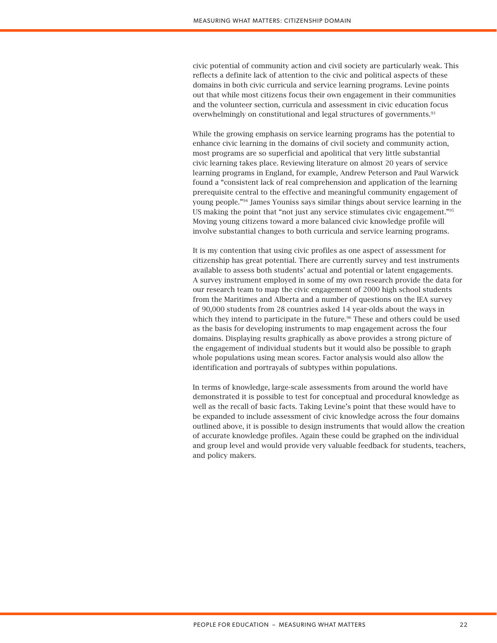civic potential of community action and civil society are particularly weak. This reflects a definite lack of attention to the civic and political aspects of these domains in both civic curricula and service learning programs. Levine points out that while most citizens focus their own engagement in their communities and the volunteer section, curricula and assessment in civic education focus overwhelmingly on constitutional and legal structures of governments.93

While the growing emphasis on service learning programs has the potential to enhance civic learning in the domains of civil society and community action, most programs are so superficial and apolitical that very little substantial civic learning takes place. Reviewing literature on almost 20 years of service learning programs in England, for example, Andrew Peterson and Paul Warwick found a "consistent lack of real comprehension and application of the learning prerequisite central to the effective and meaningful community engagement of young people."94 James Youniss says similar things about service learning in the US making the point that "not just any service stimulates civic engagement."95 Moving young citizens toward a more balanced civic knowledge profile will involve substantial changes to both curricula and service learning programs.

It is my contention that using civic profiles as one aspect of assessment for citizenship has great potential. There are currently survey and test instruments available to assess both students' actual and potential or latent engagements. A survey instrument employed in some of my own research provide the data for our research team to map the civic engagement of 2000 high school students from the Maritimes and Alberta and a number of questions on the IEA survey of 90,000 students from 28 countries asked 14 year-olds about the ways in which they intend to participate in the future.<sup>96</sup> These and others could be used as the basis for developing instruments to map engagement across the four domains. Displaying results graphically as above provides a strong picture of the engagement of individual students but it would also be possible to graph whole populations using mean scores. Factor analysis would also allow the identification and portrayals of subtypes within populations.

In terms of knowledge, large-scale assessments from around the world have demonstrated it is possible to test for conceptual and procedural knowledge as well as the recall of basic facts. Taking Levine's point that these would have to be expanded to include assessment of civic knowledge across the four domains outlined above, it is possible to design instruments that would allow the creation of accurate knowledge profiles. Again these could be graphed on the individual and group level and would provide very valuable feedback for students, teachers, and policy makers.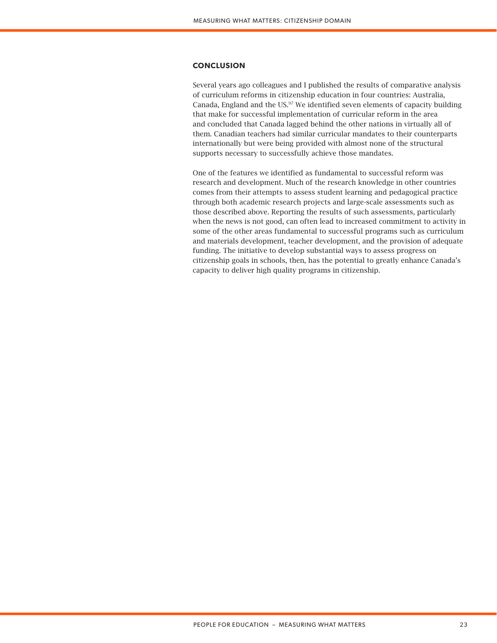# **CONCLUSION**

Several years ago colleagues and I published the results of comparative analysis of curriculum reforms in citizenship education in four countries: Australia, Canada, England and the US. $97$  We identified seven elements of capacity building that make for successful implementation of curricular reform in the area and concluded that Canada lagged behind the other nations in virtually all of them. Canadian teachers had similar curricular mandates to their counterparts internationally but were being provided with almost none of the structural supports necessary to successfully achieve those mandates.

One of the features we identified as fundamental to successful reform was research and development. Much of the research knowledge in other countries comes from their attempts to assess student learning and pedagogical practice through both academic research projects and large-scale assessments such as those described above. Reporting the results of such assessments, particularly when the news is not good, can often lead to increased commitment to activity in some of the other areas fundamental to successful programs such as curriculum and materials development, teacher development, and the provision of adequate funding. The initiative to develop substantial ways to assess progress on citizenship goals in schools, then, has the potential to greatly enhance Canada's capacity to deliver high quality programs in citizenship.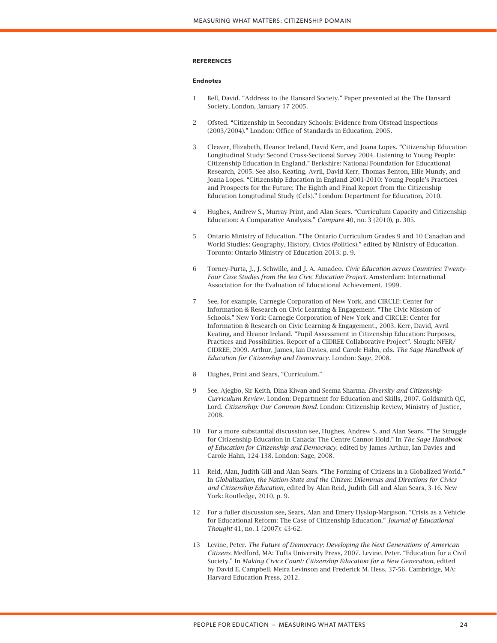# **REFERENCES**

#### **Endnotes**

- 1 Bell, David. "Address to the Hansard Society." Paper presented at the The Hansard Society, London, January 17 2005.
- 2 Ofsted. "Citizenship in Secondary Schools: Evidence from Ofstead Inspections (2003/2004)." London: Office of Standards in Education, 2005.
- 3 Cleaver, Elizabeth, Eleanor Ireland, David Kerr, and Joana Lopes. "Citizenship Education Longitudinal Study: Second Cross-Sectional Survey 2004. Listening to Young People: Citizenship Education in England." Berkshire: National Foundation for Educational Research, 2005. See also, Keating, Avril, David Kerr, Thomas Benton, Ellie Mundy, and Joana Lopes. "Citizenship Education in England 2001-2010: Young People's Practices and Prospects for the Future: The Eighth and Final Report from the Citizenship Education Longitudinal Study (Cels)." London: Department for Education, 2010.
- 4 Hughes, Andrew S., Murray Print, and Alan Sears. "Curriculum Capacity and Citizenship Education: A Comparative Analysis." *Compare* 40, no. 3 (2010), p. 305.
- 5 Ontario Ministry of Education. "The Ontario Curriculum Grades 9 and 10 Canadian and World Studies: Geography, History, Civics (Politics)." edited by Ministry of Education. Toronto: Ontario Ministry of Education 2013, p. 9.
- 6 Torney-Purta, J., J. Schwille, and J. A. Amadeo. *Civic Education across Countries: Twenty-Four Case Studies from the Iea Civic Education Project*. Amsterdam: International Association for the Evaluation of Educational Achievement, 1999.
- 7 See, for example, Carnegie Corporation of New York, and CIRCLE: Center for Information & Research on Civic Learning & Engagement. "The Civic Mission of Schools." New York: Carnegie Corporation of New York and CIRCLE: Center for Information & Research on Civic Learning & Engagement., 2003. Kerr, David, Avril Keating, and Eleanor Ireland. "Pupil Assessment in Citizenship Education: Purposes, Practices and Possibilities. Report of a CIDREE Collaborative Project". Slough: NFER/ CIDREE, 2009. Arthur, James, Ian Davies, and Carole Hahn, eds. *The Sage Handbook of Education for Citizenship and Democracy*. London: Sage, 2008.
- 8 Hughes, Print and Sears, "Curriculum."
- 9 See, Ajegbo, Sir Keith, Dina Kiwan and Seema Sharma. *Diversity and Citizenship Curriculum Review*. London: Department for Education and Skills, 2007. Goldsmith QC, Lord. *Citizenship: Our Common Bond*. London: Citizenship Review, Ministry of Justice, 2008.
- 10 For a more substantial discussion see, Hughes, Andrew S. and Alan Sears. "The Struggle for Citizenship Education in Canada: The Centre Cannot Hold." In *The Sage Handbook of Education for Citizenship and Democracy*, edited by James Arthur, Ian Davies and Carole Hahn, 124-138. London: Sage, 2008.
- 11 Reid, Alan, Judith Gill and Alan Sears. "The Forming of Citizens in a Globalized World." In *Globalization, the Nation-State and the Citizen: Dilemmas and Directions for Civics and Citizenship Education*, edited by Alan Reid, Judith Gill and Alan Sears, 3-16. New York: Routledge, 2010, p. 9.
- 12 For a fuller discussion see, Sears, Alan and Emery Hyslop-Margison. "Crisis as a Vehicle for Educational Reform: The Case of Citizenship Education." *Journal of Educational Thought* 41, no. 1 (2007): 43-62.
- 13 Levine, Peter. *The Future of Democracy: Developing the Next Generations of American Citizens*. Medford, MA: Tufts University Press, 2007. Levine, Peter. "Education for a Civil Society." In *Making Civics Count: Citizenship Education for a New Generation*, edited by David E. Campbell, Meira Levinson and Frederick M. Hess, 37-56. Cambridge, MA: Harvard Education Press, 2012.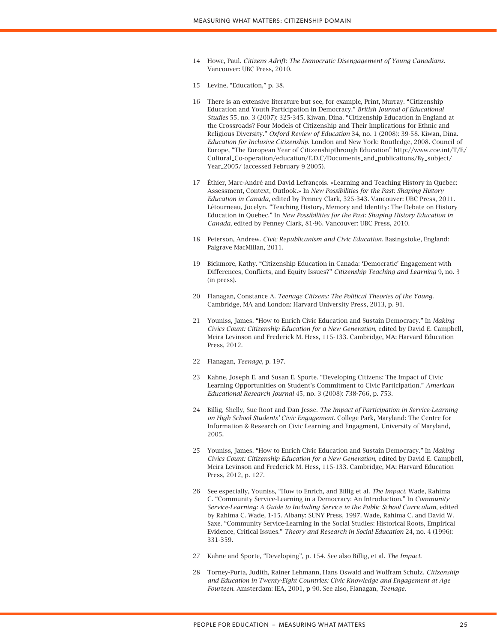- 14 Howe, Paul. *Citizens Adrift: The Democratic Disengagement of Young Canadians*. Vancouver: UBC Press, 2010.
- 15 Levine, "Education," p. 38.
- 16 There is an extensive literature but see, for example, Print, Murray. "Citizenship Education and Youth Participation in Democracy." *British Journal of Educational Studies* 55, no. 3 (2007): 325-345. Kiwan, Dina. "Citizenship Education in England at the Crossroads? Four Models of Citizenship and Their Implications for Ethnic and Religious Diversity." *Oxford Review of Education* 34, no. 1 (2008): 39-58. Kiwan, Dina. *Education for Inclusive Citizenship*. London and New York: Routledge, 2008. Council of Europe, "The European Year of Citizenshipthrough Education" http://www.coe.int/T/E/ Cultural\_Co-operation/education/E.D.C/Documents\_and\_publications/By\_subject/ Year\_2005/ (accessed February 9 2005).
- 17 Éthier, Marc-André and David Lefrançois. «Learning and Teaching History in Quebec: Assessment, Context, Outlook.» In *New Possibilities for the Past: Shaping History Education in Canada*, edited by Penney Clark, 325-343. Vancouver: UBC Press, 2011. Létourneau, Jocelyn. "Teaching History, Memory and Identity: The Debate on History Education in Quebec." In *New Possibilities for the Past: Shaping History Education in Canada*, edited by Penney Clark, 81-96. Vancouver: UBC Press, 2010.
- 18 Peterson, Andrew. *Civic Republicanism and Civic Education*. Basingstoke, England: Palgrave MacMillan, 2011.
- 19 Bickmore, Kathy. "Citizenship Education in Canada: 'Democratic' Engagement with Differences, Conflicts, and Equity Issues?" *Citizenship Teaching and Learning* 9, no. 3 (in press).
- 20 Flanagan, Constance A. *Teenage Citizens: The Political Theories of the Young*. Cambridge, MA and London: Harvard University Press, 2013, p. 91.
- 21 Youniss, James. "How to Enrich Civic Education and Sustain Democracy." In *Making Civics Count: Citizenship Education for a New Generation*, edited by David E. Campbell, Meira Levinson and Frederick M. Hess, 115-133. Cambridge, MA: Harvard Education Press, 2012.
- 22 Flanagan, *Teenage*, p. 197.
- 23 Kahne, Joseph E. and Susan E. Sporte. "Developing Citizens: The Impact of Civic Learning Opportunities on Student's Commitment to Civic Participation." *American Educational Research Journal* 45, no. 3 (2008): 738-766, p. 753.
- 24 Billig, Shelly, Sue Root and Dan Jesse. *The Impact of Participation in Service-Learning on High School Students' Civic Engagement*. College Park, Maryland: The Centre for Information & Research on Civic Learning and Engagment, University of Maryland, 2005.
- 25 Youniss, James. "How to Enrich Civic Education and Sustain Democracy." In *Making Civics Count: Citizenship Education for a New Generation*, edited by David E. Campbell, Meira Levinson and Frederick M. Hess, 115-133. Cambridge, MA: Harvard Education Press, 2012, p. 127.
- 26 See especially, Youniss, "How to Enrich, and Billig et al*. The Impact*. Wade, Rahima C. "Community Service-Learning in a Democracy: An Introduction." In *Community Service-Learning: A Guide to Including Service in the Public School Curriculum*, edited by Rahima C. Wade, 1-15. Albany: SUNY Press, 1997. Wade, Rahima C. and David W. Saxe. "Community Service-Learning in the Social Studies: Historical Roots, Empirical Evidence, Critical Issues." *Theory and Research in Social Education* 24, no. 4 (1996): 331-359.
- 27 Kahne and Sporte, "Developing", p. 154. See also Billig, et al. *The Impact*.
- 28 Torney-Purta, Judith, Rainer Lehmann, Hans Oswald and Wolfram Schulz. *Citizenship and Education in Twenty-Eight Countries: Civic Knowledge and Engagement at Age Fourteen*. Amsterdam: IEA, 2001, p 90. See also, Flanagan, *Teenage.*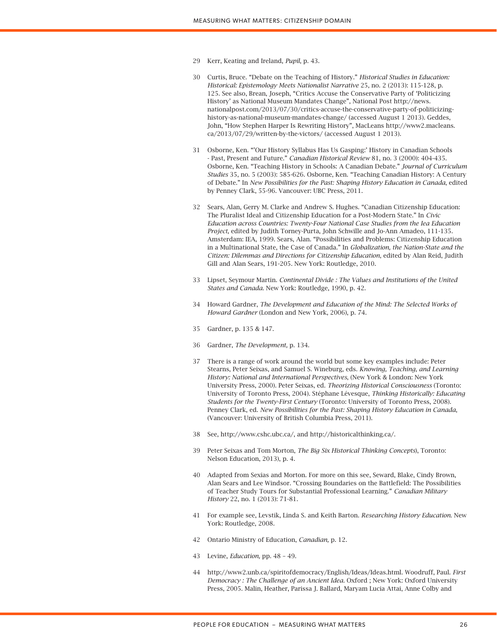- 29 Kerr, Keating and Ireland, *Pupil*, p. 43.
- 30 Curtis, Bruce. "Debate on the Teaching of History." *Historical Studies in Education: Historical: Epistemology Meets Nationalist Narrative* 25, no. 2 (2013): 115-128, p. 125. See also, Brean, Joseph, "Critics Accuse the Conservative Party of 'Politicizing History' as National Museum Mandates Change", National Post http://news. nationalpost.com/2013/07/30/critics-accuse-the-conservative-party-of-politicizinghistory-as-national-museum-mandates-change/ (accessed August 1 2013). Geddes, John, "How Stephen Harper Is Rewriting History", MacLeans http://www2.macleans. ca/2013/07/29/written-by-the-victors/ (accessed August 1 2013).
- 31 Osborne, Ken. "'Our History Syllabus Has Us Gasping:' History in Canadian Schools - Past, Present and Future." *Canadian Historical Review* 81, no. 3 (2000): 404-435. Osborne, Ken. "Teaching History in Schools: A Canadian Debate." *Journal of Curriculum Studies* 35, no. 5 (2003): 585-626. Osborne, Ken. "Teaching Canadian History: A Century of Debate." In *New Possibilities for the Past: Shaping History Education in Canada*, edited by Penney Clark, 55-96. Vancouver: UBC Press, 2011.
- 32 Sears, Alan, Gerry M. Clarke and Andrew S. Hughes. "Canadian Citizenship Education: The Pluralist Ideal and Citizenship Education for a Post-Modern State." In *Civic Education across Countries: Twenty-Four National Case Studies from the Iea Education Project*, edited by Judith Torney-Purta, John Schwille and Jo-Ann Amadeo, 111-135. Amsterdam: IEA, 1999. Sears, Alan. "Possibilities and Problems: Citizenship Education in a Multinational State, the Case of Canada." In *Globalization, the Nation-State and the Citizen: Dilemmas and Directions for Citizenship Education*, edited by Alan Reid, Judith Gill and Alan Sears, 191-205. New York: Routledge, 2010.
- 33 Lipset, Seymour Martin. *Continental Divide : The Values and Institutions of the United States and Canada*. New York: Routledge, 1990, p. 42.
- 34 Howard Gardner, *The Development and Education of the Mind: The Selected Works of Howard Gardner* (London and New York, 2006), p. 74.
- 35 Gardner, p. 135 & 147.
- 36 Gardner, *The Development,* p. 134.
- 37 There is a range of work around the world but some key examples include: Peter Stearns, Peter Seixas, and Samuel S. Wineburg, eds. *Knowing, Teaching, and Learning History: National and International Perspectives*, (New York & London: New York University Press, 2000). Peter Seixas, ed. *Theorizing Historical Consciousness* (Toronto: University of Toronto Press, 2004). Stéphane Lévesque, *Thinking Historically: Educating Students for the Twenty-First Century* (Toronto: University of Toronto Press, 2008). Penney Clark, ed. *New Possibilities for the Past: Shaping History Education in Canada*, (Vancouver: University of British Columbia Press, 2011).
- 38 See, http://www.cshc.ubc.ca/, and http://historicalthinking.ca/.
- 39 Peter Seixas and Tom Morton, *The Big Six Historical Thinking Concepts*), Toronto: Nelson Education, 2013), p. 4.
- 40 Adapted from Sexias and Morton. For more on this see, Seward, Blake, Cindy Brown, Alan Sears and Lee Windsor. "Crossing Boundaries on the Battlefield: The Possibilities of Teacher Study Tours for Substantial Professional Learning." *Canadian Military History* 22, no. 1 (2013): 71-81.
- 41 For example see, Levstik, Linda S. and Keith Barton. *Researching History Education*. New York: Routledge, 2008*.*
- 42 Ontario Ministry of Education, *Canadian,* p. 12.
- 43 Levine, *Education,* pp. 48 49.
- 44 http://www2.unb.ca/spiritofdemocracy/English/Ideas/Ideas.html. Woodruff, Paul. *First Democracy : The Challenge of an Ancient Idea*. Oxford ; New York: Oxford University Press, 2005. Malin, Heather, Parissa J. Ballard, Maryam Lucia Attai, Anne Colby and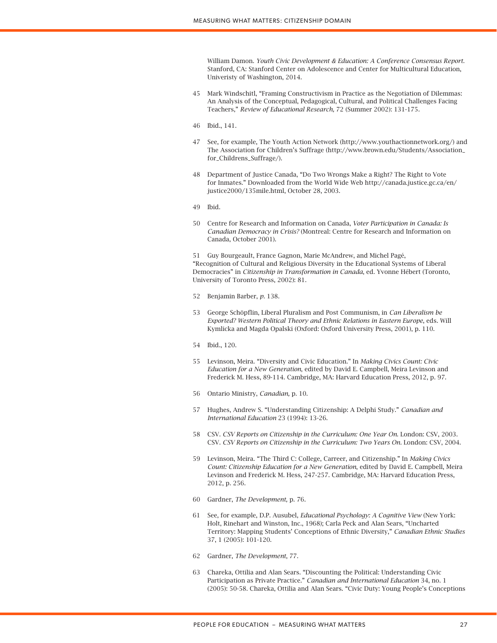William Damon. *Youth Civic Development & Education: A Conference Consensus Report*. Stanford, CA: Stanford Center on Adolescence and Center for Multicultural Education, Univeristy of Washington, 2014.

- 45 Mark Windschitl, "Framing Constructivism in Practice as the Negotiation of Dilemmas: An Analysis of the Conceptual, Pedagogical, Cultural, and Political Challenges Facing Teachers," *Review of Educational Research,* 72 (Summer 2002): 131-175*.*
- 46 Ibid., 141.
- 47 See, for example, The Youth Action Network (http://www.youthactionnetwork.org/) and The Association for Children's Suffrage (http://www.brown.edu/Students/Association\_ for\_Childrens\_Suffrage/).
- 48 Department of Justice Canada, "Do Two Wrongs Make a Right? The Right to Vote for Inmates." Downloaded from the World Wide Web http://canada.justice.gc.ca/en/ justice2000/135mile.html, October 28, 2003.
- 49 Ibid.
- 50 Centre for Research and Information on Canada, *Voter Participation in Canada: Is Canadian Democracy in Crisis?* (Montreal: Centre for Research and Information on Canada, October 2001).

51 Guy Bourgeault, France Gagnon, Marie McAndrew, and Michel Pagé, "Recognition of Cultural and Religious Diversity in the Educational Systems of Liberal Democracies" in *Citizenship in Transformation in Canada*, ed. Yvonne Hébert (Toronto, University of Toronto Press, 2002): 81.

- 52 Benjamin Barber, *p.* 138.
- 53 George Schöpflin, Liberal Pluralism and Post Communism, in *Can Liberalism be Exported? Western Political Theory and Ethnic Relations in Eastern Europe*, eds. Will Kymlicka and Magda Opalski (Oxford: Oxford University Press, 2001), p. 110.
- 54 Ibid., 120.
- 55 Levinson, Meira. "Diversity and Civic Education." In *Making Civics Count: Civic Education for a New Generation*, edited by David E. Campbell, Meira Levinson and Frederick M. Hess, 89-114. Cambridge, MA: Harvard Education Press, 2012, p. 97.
- 56 Ontario Ministry, *Canadian,* p. 10.
- 57 Hughes, Andrew S. "Understanding Citizenship: A Delphi Study." *Canadian and International Education* 23 (1994): 13-26.
- 58 CSV. *CSV Reports on Citizenship in the Curriculum: One Year On*. London: CSV, 2003. CSV. *CSV Reports on Citizenship in the Curriculum: Two Years On*. London: CSV, 2004.
- 59 Levinson, Meira. "The Third C: College, Carreer, and Citizenship." In *Making Civics Count: Citizenship Education for a New Generation*, edited by David E. Campbell, Meira Levinson and Frederick M. Hess, 247-257. Cambridge, MA: Harvard Education Press, 2012, p. 256.
- 60 Gardner, *The Development,* p. 76.
- 61 See, for example, D.P. Ausubel, *Educational Psychology: A Cognitive View* (New York: Holt, Rinehart and Winston, Inc., 1968); Carla Peck and Alan Sears, "Uncharted Territory: Mapping Students' Conceptions of Ethnic Diversity," *Canadian Ethnic Studies* 37, 1 (2005): 101-120.
- 62 Gardner, *The Development*, 77.
- 63 Chareka, Ottilia and Alan Sears. "Discounting the Political: Understanding Civic Participation as Private Practice." *Canadian and International Education* 34, no. 1 (2005): 50-58. Chareka, Ottilia and Alan Sears. "Civic Duty: Young People's Conceptions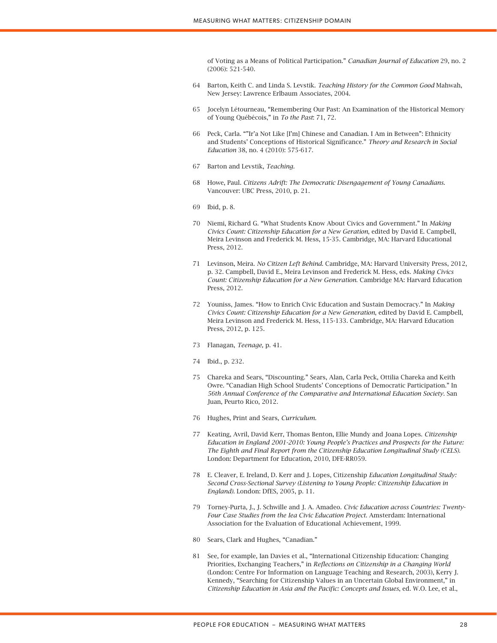of Voting as a Means of Political Participation." *Canadian Journal of Education* 29, no. 2 (2006): 521-540.

- 64 Barton, Keith C. and Linda S. Levstik. *Teaching History for the Common Good* Mahwah, New Jersey: Lawrence Erlbaum Associates, 2004.
- 65 Jocelyn Létourneau, "Remembering Our Past: An Examination of the Historical Memory of Young Québécois," in *To the Past*: 71, 72.
- 66 Peck, Carla. ""Ir'a Not Like [I'm] Chinese and Canadian. I Am in Between": Ethnicity and Students' Conceptions of Historical Significance." *Theory and Research in Social Education* 38, no. 4 (2010): 575-617.
- 67 Barton and Levstik, *Teaching.*
- 68 Howe, Paul. *Citizens Adrift: The Democratic Disengagement of Young Canadians*. Vancouver: UBC Press, 2010, p. 21.
- 69 Ibid, p. 8.
- 70 Niemi, Richard G. "What Students Know About Civics and Government." In *Making Civics Count: Citizenship Education for a New Geration*, edited by David E. Campbell, Meira Levinson and Frederick M. Hess, 15-35. Cambridge, MA: Harvard Educational Press, 2012.
- 71 Levinson, Meira. *No Citizen Left Behind*. Cambridge, MA: Harvard University Press, 2012, p. 32. Campbell, David E., Meira Levinson and Frederick M. Hess, eds. *Making Civics Count: Citizenship Education for a New Generation*. Cambridge MA: Harvard Education Press, 2012.
- 72 Youniss, James. "How to Enrich Civic Education and Sustain Democracy." In *Making Civics Count: Citizenship Education for a New Generation*, edited by David E. Campbell, Meira Levinson and Frederick M. Hess, 115-133. Cambridge, MA: Harvard Education Press, 2012, p. 125.
- 73 Flanagan, *Teenage,* p. 41.
- 74 Ibid., p. 232.
- 75 Chareka and Sears, "Discounting." Sears, Alan, Carla Peck, Ottilia Chareka and Keith Owre. "Canadian High School Students' Conceptions of Democratic Participation." In *56th Annual Conference of the Comparative and International Education Society*. San Juan, Peurto Rico, 2012.
- 76 Hughes, Print and Sears, *Curriculum.*
- 77 Keating, Avril, David Kerr, Thomas Benton, Ellie Mundy and Joana Lopes. *Citizenship Education in England 2001-2010: Young People's Practices and Prospects for the Future: The Eighth and Final Report from the Citizenship Education Longitudinal Study (CELS)*. London: Department for Education, 2010, DFE-RR059.
- 78 E. Cleaver, E. Ireland, D. Kerr and J. Lopes, Citizenship *Education Longitudinal Study: Second Cross-Sectional Survey (Listening to Young People: Citizenship Education in England).* London: DfES, 2005, p. 11.
- 79 Torney-Purta, J., J. Schwille and J. A. Amadeo. *Civic Education across Countries: Twenty-Four Case Studies from the Iea Civic Education Project*. Amsterdam: International Association for the Evaluation of Educational Achievement, 1999.
- 80 Sears, Clark and Hughes, "Canadian."
- 81 See, for example, Ian Davies et al., "International Citizenship Education: Changing Priorities, Exchanging Teachers," in *Reflections on Citizenship in a Changing World* (London: Centre For Information on Language Teaching and Research, 2003), Kerry J. Kennedy, "Searching for Citizenship Values in an Uncertain Global Environment," in *Citizenship Education in Asia and the Pacific: Concepts and Issues*, ed. W.O. Lee, et al.,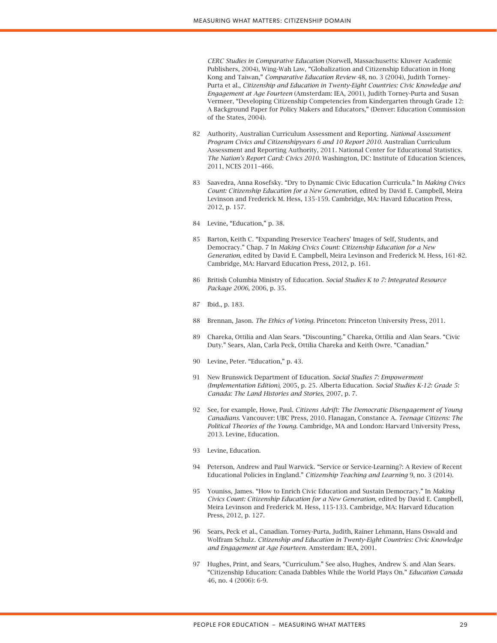*CERC Studies in Comparative Education* (Norwell, Massachusetts: Kluwer Academic Publishers, 2004), Wing-Wah Law, "Globalization and Citizenship Education in Hong Kong and Taiwan," *Comparative Education Review* 48, no. 3 (2004), Judith Torney-Purta et al., *Citizenship and Education in Twenty-Eight Countries: Civic Knowledge and Engagement at Age Fourteen* (Amsterdam: IEA, 2001), Judith Torney-Purta and Susan Vermeer, "Developing Citizenship Competencies from Kindergarten through Grade 12: A Background Paper for Policy Makers and Educators," (Denver: Education Commission of the States, 2004).

- 82 Authority, Australian Curriculum Assessment and Reporting. *National Assessment Program Civics and Citizenshipyears 6 and 10 Report 2010*. Australian Curriculum Assessment and Reporting Authority, 2011. National Center for Educational Statistics. *The Nation's Report Card: Civics 2010*. Washington, DC: Institute of Education Sciences, 2011, NCES 2011–466.
- 83 Saavedra, Anna Rosefsky. "Dry to Dynamic Civic Education Curricula." In *Making Civics Count: Citizenship Education for a New Generation*, edited by David E. Campbell, Meira Levinson and Frederick M. Hess, 135-159. Cambridge, MA: Havard Education Press, 2012, p. 157.
- 84 Levine, "Education," p. 38.
- 85 Barton, Keith C. "Expanding Preservice Teachers' Images of Self, Students, and Democracy." Chap. 7 In *Making Civics Count: Citizenship Education for a New Generation*, edited by David E. Campbell, Meira Levinson and Frederick M. Hess, 161-82. Cambridge, MA: Harvard Education Press, 2012, p. 161.
- 86 British Columbia Ministry of Education. *Social Studies K to 7: Integrated Resource Package 2006*, 2006, p. 35.
- 87 Ibid., p. 183.
- 88 Brennan, Jason. *The Ethics of Voting*. Princeton: Princeton University Press, 2011.
- 89 Chareka, Ottilia and Alan Sears. "Discounting." Chareka, Ottilia and Alan Sears. "Civic Duty." Sears, Alan, Carla Peck, Ottilia Chareka and Keith Owre. "Canadian."
- 90 Levine, Peter. "Education," p. 43.
- 91 New Brunswick Department of Education. *Social Studies 7: Empowerment (Implementation Edition)*, 2005, p. 25. Alberta Education. *Social Studies K-12: Grade 5: Canada: The Land Histories and Stories*, 2007, p. 7.
- 92 See, for example, Howe, Paul. *Citizens Adrift: The Democratic Disengagement of Young Canadians*. Vancouver: UBC Press, 2010. Flanagan, Constance A. *Teenage Citizens: The Political Theories of the Young*. Cambridge, MA and London: Harvard University Press, 2013. Levine, Education.
- 93 Levine, Education.
- 94 Peterson, Andrew and Paul Warwick. "Service or Service-Learning?: A Review of Recent Educational Policies in England." *Citizenship Teaching and Learning* 9, no. 3 (2014).
- 95 Youniss, James. "How to Enrich Civic Education and Sustain Democracy." In *Making Civics Count: Citizenship Education for a New Generation*, edited by David E. Campbell, Meira Levinson and Frederick M. Hess, 115-133. Cambridge, MA: Harvard Education Press, 2012, p. 127.
- 96 Sears, Peck et al., Canadian. Torney-Purta, Judith, Rainer Lehmann, Hans Oswald and Wolfram Schulz. *Citizenship and Education in Twenty-Eight Countries: Civic Knowledge and Engagement at Age Fourteen*. Amsterdam: IEA, 2001.
- 97 Hughes, Print, and Sears, "Curriculum." See also, Hughes, Andrew S. and Alan Sears. "Citizenship Education: Canada Dabbles While the World Plays On." *Education Canada* 46, no. 4 (2006): 6-9.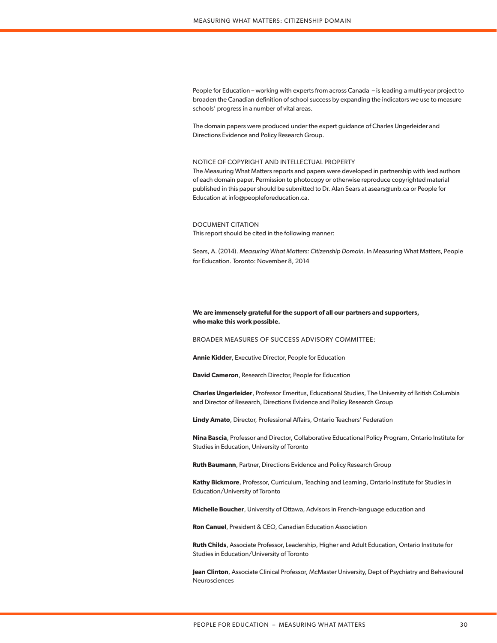People for Education – working with experts from across Canada – is leading a multi-year project to broaden the Canadian definition of school success by expanding the indicators we use to measure schools' progress in a number of vital areas.

The domain papers were produced under the expert guidance of Charles Ungerleider and Directions Evidence and Policy Research Group.

### NOTICE OF COPYRIGHT AND INTELLECTUAL PROPERTY

The Measuring What Matters reports and papers were developed in partnership with lead authors of each domain paper. Permission to photocopy or otherwise reproduce copyrighted material published in this paper should be submitted to Dr. Alan Sears at asears@unb.ca or People for Education at info@peopleforeducation.ca.

#### DOCUMENT CITATION

This report should be cited in the following manner:

Sears, A. (2014). *Measuring What Matters: Citizenship Domain*. In Measuring What Matters, People for Education. Toronto: November 8, 2014

# **We are immensely grateful for the support of all our partners and supporters, who make this work possible.**

BROADER MEASURES OF SUCCESS ADVISORY COMMITTEE:

**Annie Kidder**, Executive Director, People for Education

**David Cameron**, Research Director, People for Education

**Charles Ungerleider**, Professor Emeritus, Educational Studies, The University of British Columbia and Director of Research, Directions Evidence and Policy Research Group

**Lindy Amato**, Director, Professional Affairs, Ontario Teachers' Federation

**Nina Bascia**, Professor and Director, Collaborative Educational Policy Program, Ontario Institute for Studies in Education, University of Toronto

**Ruth Baumann**, Partner, Directions Evidence and Policy Research Group

**Kathy Bickmore**, Professor, Curriculum, Teaching and Learning, Ontario Institute for Studies in Education/University of Toronto

**Michelle Boucher**, University of Ottawa, Advisors in French-language education and

**Ron Canuel**, President & CEO, Canadian Education Association

**Ruth Childs**, Associate Professor, Leadership, Higher and Adult Education, Ontario Institute for Studies in Education/University of Toronto

**Jean Clinton**, Associate Clinical Professor, McMaster University, Dept of Psychiatry and Behavioural Neurosciences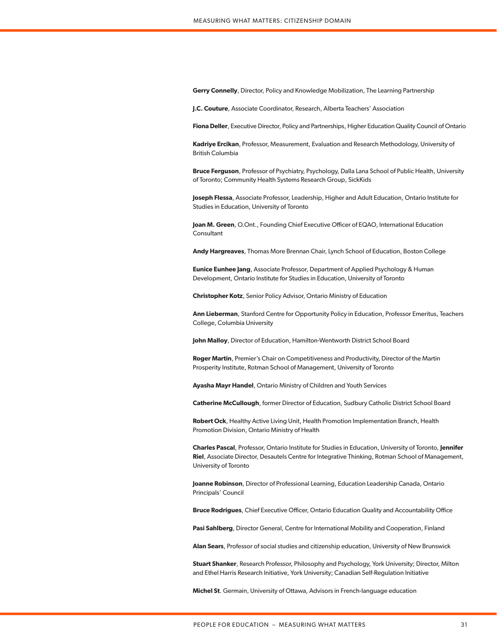**Gerry Connelly**, Director, Policy and Knowledge Mobilization, The Learning Partnership

**J.C. Couture**, Associate Coordinator, Research, Alberta Teachers' Association

**Fiona Deller**, Executive Director, Policy and Partnerships, Higher Education Quality Council of Ontario

**Kadriye Ercikan**, Professor, Measurement, Evaluation and Research Methodology, University of British Columbia

**Bruce Ferguson**, Professor of Psychiatry, Psychology, Dalla Lana School of Public Health, University of Toronto; Community Health Systems Research Group, SickKids

**Joseph Flessa**, Associate Professor, Leadership, Higher and Adult Education, Ontario Institute for Studies in Education, University of Toronto

**Joan M. Green**, O.Ont., Founding Chief Executive Officer of EQAO, International Education **Consultant** 

**Andy Hargreaves**, Thomas More Brennan Chair, Lynch School of Education, Boston College

**Eunice Eunhee Jang**, Associate Professor, Department of Applied Psychology & Human Development, Ontario Institute for Studies in Education, University of Toronto

**Christopher Kotz**, Senior Policy Advisor, Ontario Ministry of Education

**Ann Lieberman**, Stanford Centre for Opportunity Policy in Education, Professor Emeritus, Teachers College, Columbia University

**John Malloy**, Director of Education, Hamilton-Wentworth District School Board

**Roger Martin**, Premier's Chair on Competitiveness and Productivity, Director of the Martin Prosperity Institute, Rotman School of Management, University of Toronto

**Ayasha Mayr Handel**, Ontario Ministry of Children and Youth Services

**Catherine McCullough**, former Director of Education, Sudbury Catholic District School Board

**Robert Ock**, Healthy Active Living Unit, Health Promotion Implementation Branch, Health Promotion Division, Ontario Ministry of Health

**Charles Pascal**, Professor, Ontario Institute for Studies in Education, University of Toronto, **Jennifer Riel**, Associate Director, Desautels Centre for Integrative Thinking, Rotman School of Management, University of Toronto

**Joanne Robinson**, Director of Professional Learning, Education Leadership Canada, Ontario Principals' Council

**Bruce Rodrigues**, Chief Executive Officer, Ontario Education Quality and Accountability Office

**Pasi Sahlberg**, Director General, Centre for International Mobility and Cooperation, Finland

**Alan Sears**, Professor of social studies and citizenship education, University of New Brunswick

**Stuart Shanker**, Research Professor, Philosophy and Psychology, York University; Director, Milton and Ethel Harris Research Initiative, York University; Canadian Self-Regulation Initiative

**Michel St**. Germain, University of Ottawa, Advisors in French-language education